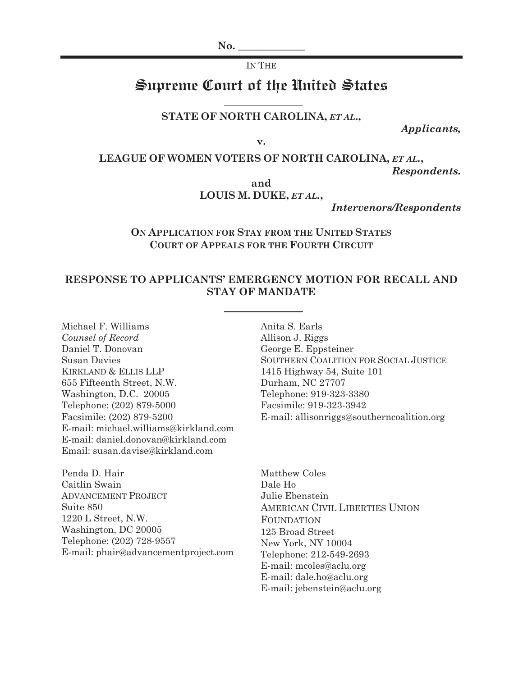$\bf No.$ 

#### IN THE

# Supreme Court of the United States

#### **STATE OF NORTH CAROLINA,** *ET AL***.,**

*Applicants,*

**v.** 

**LEAGUE OF WOMEN VOTERS OF NORTH CAROLINA,** *ET AL.***,** 

*Respondents.*

**and LOUIS M. DUKE,** *ET AL.***,** 

*Intervenors/Respondents*

**ON APPLICATION FOR STAY FROM THE UNITED STATES COURT OF APPEALS FOR THE FOURTH CIRCUIT** 

### **RESPONSE TO APPLICANTS' EMERGENCY MOTION FOR RECALL AND STAY OF MANDATE**

Michael F. Williams *Counsel of Record*  Daniel T. Donovan Susan Davies KIRKLAND & ELLIS LLP 655 Fifteenth Street, N.W. Washington, D.C. 20005 Telephone: (202) 879-5000 Facsimile: (202) 879-5200 E-mail: michael.williams@kirkland.com E-mail: daniel.donovan@kirkland.com Email: susan.davise@kirkland.com

Penda D. Hair Caitlin Swain ADVANCEMENT PROJECT Suite 850 1220 L Street, N.W. Washington, DC 20005 Telephone: (202) 728-9557 E-mail: phair@advancementproject.com Anita S. Earls Allison J. Riggs George E. Eppsteiner SOUTHERN COALITION FOR SOCIAL JUSTICE 1415 Highway 54, Suite 101 Durham, NC 27707 Telephone: 919-323-3380 Facsimile: 919-323-3942 E-mail: allisonriggs@southerncoalition.org

Matthew Coles Dale Ho Julie Ebenstein AMERICAN CIVIL LIBERTIES UNION FOUNDATION 125 Broad Street New York, NY 10004 Telephone: 212-549-2693 E-mail: mcoles@aclu.org E-mail: dale.ho@aclu.org E-mail: jebenstein@aclu.org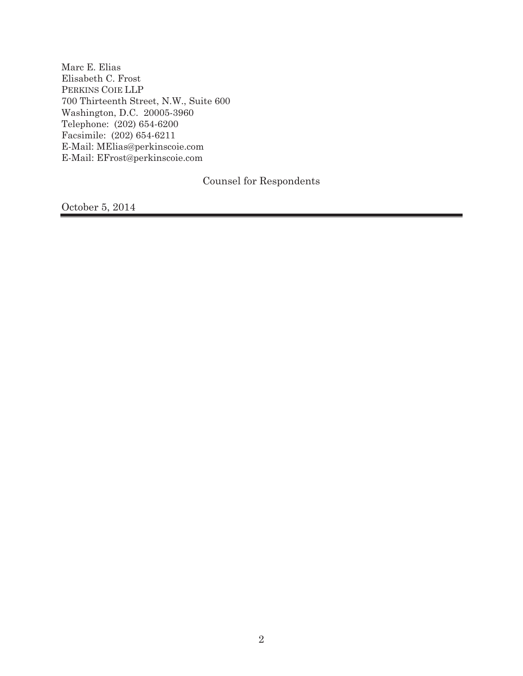Marc E. Elias Elisabeth C. Frost PERKINS COIE LLP 700 Thirteenth Street, N.W., Suite 600 Washington, D.C. 20005-3960 Telephone: (202) 654-6200 Facsimile: (202) 654-6211 E-Mail: MElias@perkinscoie.com E-Mail: EFrost@perkinscoie.com

Counsel for Respondents

October 5, 2014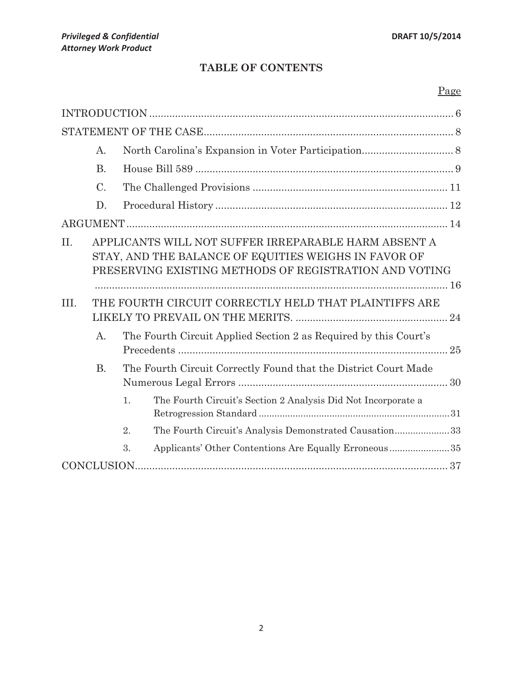# **TABLE OF CONTENTS**

# Page

|      | A.                                                                           |    |                                                                                                                                                                        |  |  |
|------|------------------------------------------------------------------------------|----|------------------------------------------------------------------------------------------------------------------------------------------------------------------------|--|--|
|      | <b>B.</b>                                                                    |    |                                                                                                                                                                        |  |  |
|      | $\mathcal{C}$ .                                                              |    |                                                                                                                                                                        |  |  |
|      | D.                                                                           |    |                                                                                                                                                                        |  |  |
|      |                                                                              |    |                                                                                                                                                                        |  |  |
| II.  |                                                                              |    | APPLICANTS WILL NOT SUFFER IRREPARABLE HARM ABSENT A<br>STAY, AND THE BALANCE OF EQUITIES WEIGHS IN FAVOR OF<br>PRESERVING EXISTING METHODS OF REGISTRATION AND VOTING |  |  |
| III. | THE FOURTH CIRCUIT CORRECTLY HELD THAT PLAINTIFFS ARE                        |    |                                                                                                                                                                        |  |  |
|      |                                                                              |    |                                                                                                                                                                        |  |  |
|      | $\mathsf{A}$ .                                                               |    | The Fourth Circuit Applied Section 2 as Required by this Court's                                                                                                       |  |  |
|      | <b>B.</b><br>The Fourth Circuit Correctly Found that the District Court Made |    |                                                                                                                                                                        |  |  |
|      |                                                                              | 1. | The Fourth Circuit's Section 2 Analysis Did Not Incorporate a                                                                                                          |  |  |
|      |                                                                              | 2. | The Fourth Circuit's Analysis Demonstrated Causation33                                                                                                                 |  |  |
|      |                                                                              | 3. | Applicants' Other Contentions Are Equally Erroneous35                                                                                                                  |  |  |
|      | CONCLUSION.                                                                  |    |                                                                                                                                                                        |  |  |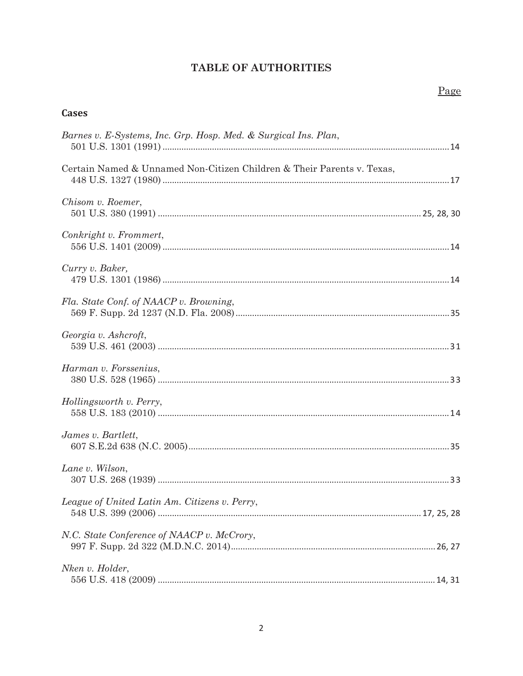# **TABLE OF AUTHORITIES**

### **Cases**

| Barnes v. E-Systems, Inc. Grp. Hosp. Med. & Surgical Ins. Plan,        |
|------------------------------------------------------------------------|
| Certain Named & Unnamed Non-Citizen Children & Their Parents v. Texas, |
| Chisom v. Roemer,                                                      |
| Conkright v. Frommert,                                                 |
| Curry v. Baker,                                                        |
| Fla. State Conf. of NAACP v. Browning,                                 |
| Georgia v. Ashcroft,                                                   |
| Harman v. Forssenius,                                                  |
| Hollingsworth v. Perry,                                                |
| James v. Bartlett,                                                     |
| Lane v. Wilson,                                                        |
| League of United Latin Am. Citizens v. Perry,                          |
| N.C. State Conference of NAACP v. McCrory,                             |
| Nken v. Holder,                                                        |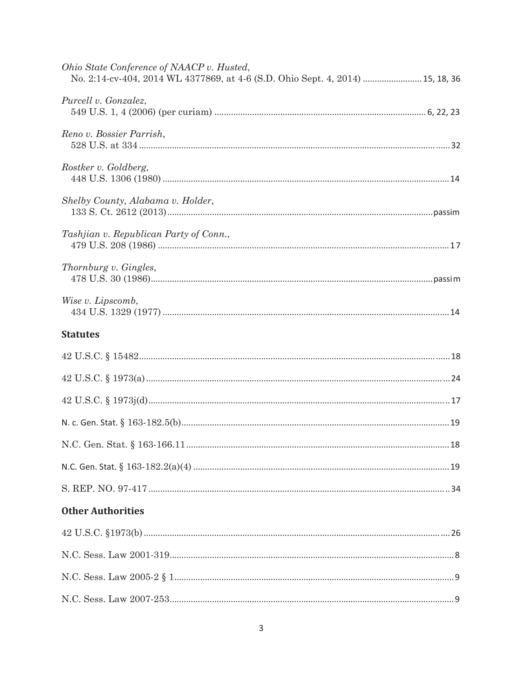| Ohio State Conference of NAACP v. Husted,<br>No. 2:14-cv-404, 2014 WL 4377869, at 4-6 (S.D. Ohio Sept. 4, 2014)  15, 18, 36 |  |
|-----------------------------------------------------------------------------------------------------------------------------|--|
| Purcell v. Gonzalez,                                                                                                        |  |
| Reno v. Bossier Parrish,                                                                                                    |  |
| Rostker v. Goldberg,                                                                                                        |  |
| Shelby County, Alabama v. Holder,                                                                                           |  |
| Tashjian v. Republican Party of Conn.,                                                                                      |  |
| Thornburg v. Gingles,                                                                                                       |  |
| Wise v. Lipscomb,                                                                                                           |  |
| <b>Statutes</b>                                                                                                             |  |
|                                                                                                                             |  |
|                                                                                                                             |  |
|                                                                                                                             |  |
|                                                                                                                             |  |
|                                                                                                                             |  |
|                                                                                                                             |  |
|                                                                                                                             |  |
| <b>Other Authorities</b>                                                                                                    |  |
|                                                                                                                             |  |
|                                                                                                                             |  |
|                                                                                                                             |  |
|                                                                                                                             |  |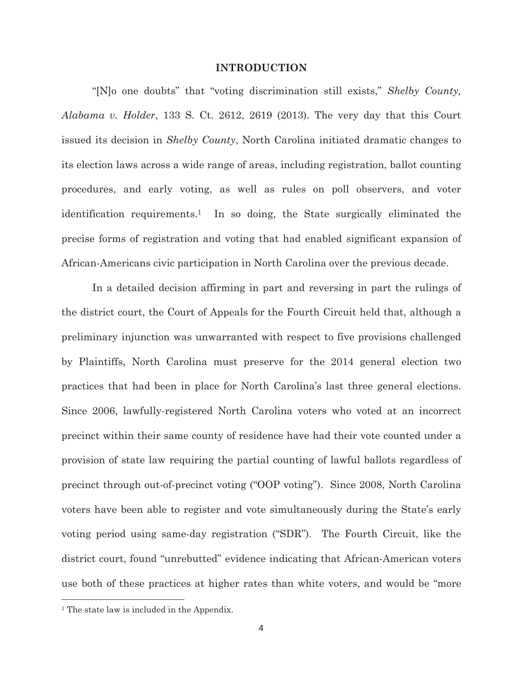#### **INTRODUCTION**

"[N]o one doubts" that "voting discrimination still exists," *Shelby County, Alabama v. Holder*, 133 S. Ct. 2612, 2619 (2013). The very day that this Court issued its decision in *Shelby County*, North Carolina initiated dramatic changes to its election laws across a wide range of areas, including registration, ballot counting procedures, and early voting, as well as rules on poll observers, and voter identification requirements.1 In so doing, the State surgically eliminated the precise forms of registration and voting that had enabled significant expansion of African-Americans civic participation in North Carolina over the previous decade.

In a detailed decision affirming in part and reversing in part the rulings of the district court, the Court of Appeals for the Fourth Circuit held that, although a preliminary injunction was unwarranted with respect to five provisions challenged by Plaintiffs, North Carolina must preserve for the 2014 general election two practices that had been in place for North Carolina's last three general elections. Since 2006, lawfully-registered North Carolina voters who voted at an incorrect precinct within their same county of residence have had their vote counted under a provision of state law requiring the partial counting of lawful ballots regardless of precinct through out-of-precinct voting ("OOP voting"). Since 2008, North Carolina voters have been able to register and vote simultaneously during the State's early voting period using same-day registration ("SDR"). The Fourth Circuit, like the district court, found "unrebutted" evidence indicating that African-American voters use both of these practices at higher rates than white voters, and would be "more

<sup>&</sup>lt;sup>1</sup> The state law is included in the Appendix.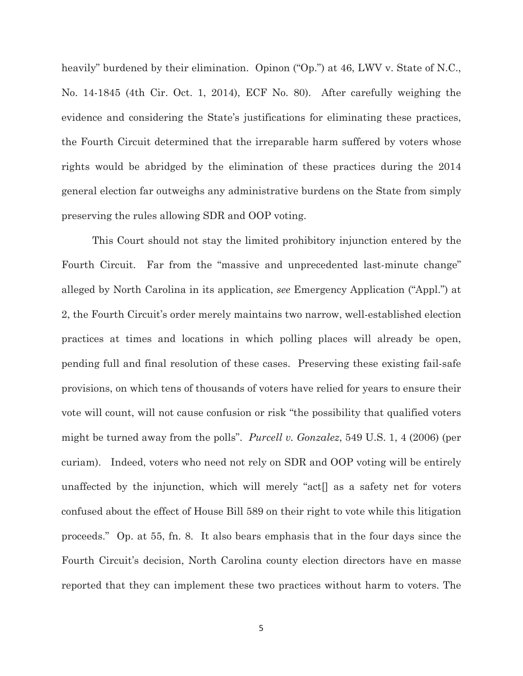heavily" burdened by their elimination. Opinon ("Op.") at 46, LWV v. State of N.C., No. 14-1845 (4th Cir. Oct. 1, 2014), ECF No. 80). After carefully weighing the evidence and considering the State's justifications for eliminating these practices, the Fourth Circuit determined that the irreparable harm suffered by voters whose rights would be abridged by the elimination of these practices during the 2014 general election far outweighs any administrative burdens on the State from simply preserving the rules allowing SDR and OOP voting.

This Court should not stay the limited prohibitory injunction entered by the Fourth Circuit. Far from the "massive and unprecedented last-minute change" alleged by North Carolina in its application, *see* Emergency Application ("Appl.") at 2, the Fourth Circuit's order merely maintains two narrow, well-established election practices at times and locations in which polling places will already be open, pending full and final resolution of these cases. Preserving these existing fail-safe provisions, on which tens of thousands of voters have relied for years to ensure their vote will count, will not cause confusion or risk "the possibility that qualified voters might be turned away from the polls". *Purcell v. Gonzalez*, 549 U.S. 1, 4 (2006) (per curiam). Indeed, voters who need not rely on SDR and OOP voting will be entirely unaffected by the injunction, which will merely "act[] as a safety net for voters confused about the effect of House Bill 589 on their right to vote while this litigation proceeds." Op. at 55, fn. 8. It also bears emphasis that in the four days since the Fourth Circuit's decision, North Carolina county election directors have en masse reported that they can implement these two practices without harm to voters. The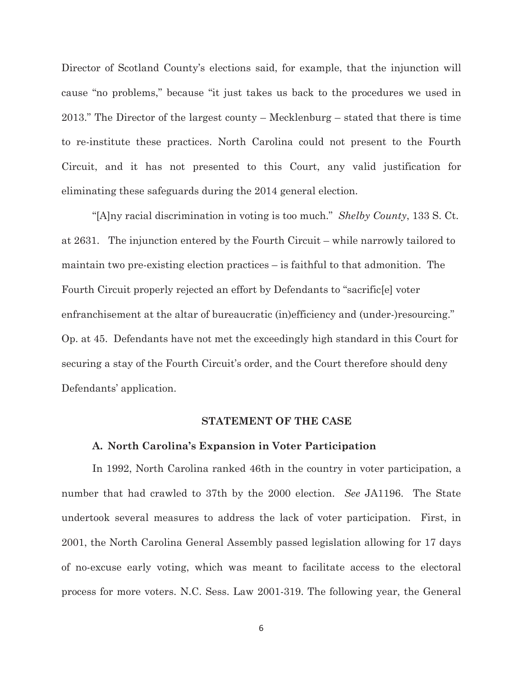Director of Scotland County's elections said, for example, that the injunction will cause "no problems," because "it just takes us back to the procedures we used in 2013." The Director of the largest county – Mecklenburg – stated that there is time to re-institute these practices. North Carolina could not present to the Fourth Circuit, and it has not presented to this Court, any valid justification for eliminating these safeguards during the 2014 general election.

 "[A]ny racial discrimination in voting is too much." *Shelby County*, 133 S. Ct. at 2631. The injunction entered by the Fourth Circuit – while narrowly tailored to maintain two pre-existing election practices – is faithful to that admonition. The Fourth Circuit properly rejected an effort by Defendants to "sacrific[e] voter enfranchisement at the altar of bureaucratic (in)efficiency and (under-)resourcing." Op. at 45. Defendants have not met the exceedingly high standard in this Court for securing a stay of the Fourth Circuit's order, and the Court therefore should deny Defendants' application.

#### **STATEMENT OF THE CASE**

#### **A. North Carolina's Expansion in Voter Participation**

 In 1992, North Carolina ranked 46th in the country in voter participation, a number that had crawled to 37th by the 2000 election. *See* JA1196. The State undertook several measures to address the lack of voter participation. First, in 2001, the North Carolina General Assembly passed legislation allowing for 17 days of no-excuse early voting, which was meant to facilitate access to the electoral process for more voters. N.C. Sess. Law 2001-319. The following year, the General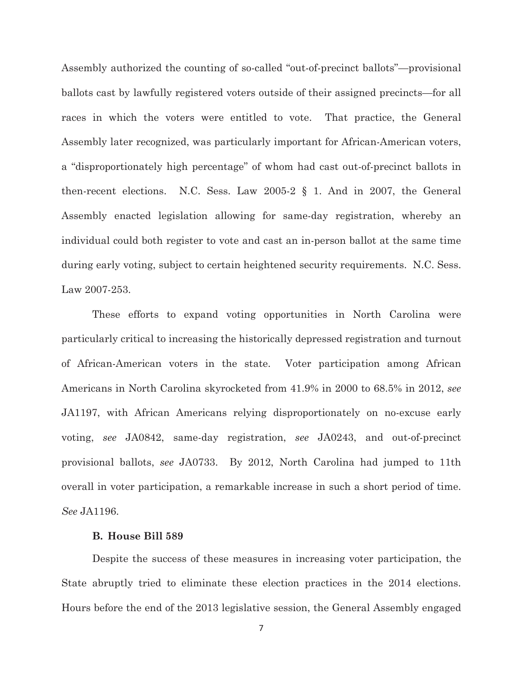Assembly authorized the counting of so-called "out-of-precinct ballots"—provisional ballots cast by lawfully registered voters outside of their assigned precincts—for all races in which the voters were entitled to vote. That practice, the General Assembly later recognized, was particularly important for African-American voters, a "disproportionately high percentage" of whom had cast out-of-precinct ballots in then-recent elections. N.C. Sess. Law 2005-2 § 1. And in 2007, the General Assembly enacted legislation allowing for same-day registration, whereby an individual could both register to vote and cast an in-person ballot at the same time during early voting, subject to certain heightened security requirements. N.C. Sess. Law 2007-253.

 These efforts to expand voting opportunities in North Carolina were particularly critical to increasing the historically depressed registration and turnout of African-American voters in the state. Voter participation among African Americans in North Carolina skyrocketed from 41.9% in 2000 to 68.5% in 2012, *see* JA1197, with African Americans relying disproportionately on no-excuse early voting, *see* JA0842, same-day registration, *see* JA0243, and out-of-precinct provisional ballots, *see* JA0733. By 2012, North Carolina had jumped to 11th overall in voter participation, a remarkable increase in such a short period of time. *See* JA1196.

#### **B. House Bill 589**

 Despite the success of these measures in increasing voter participation, the State abruptly tried to eliminate these election practices in the 2014 elections. Hours before the end of the 2013 legislative session, the General Assembly engaged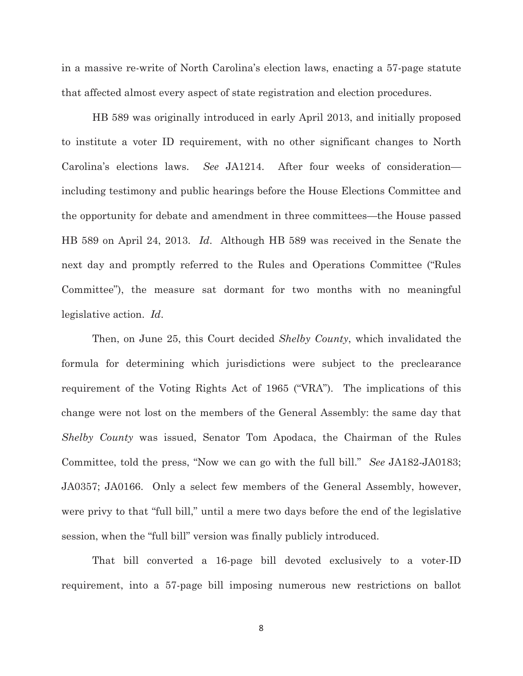in a massive re-write of North Carolina's election laws, enacting a 57-page statute that affected almost every aspect of state registration and election procedures.

HB 589 was originally introduced in early April 2013, and initially proposed to institute a voter ID requirement, with no other significant changes to North Carolina's elections laws. *See* JA1214. After four weeks of consideration including testimony and public hearings before the House Elections Committee and the opportunity for debate and amendment in three committees—the House passed HB 589 on April 24, 2013. *Id*. Although HB 589 was received in the Senate the next day and promptly referred to the Rules and Operations Committee ("Rules Committee"), the measure sat dormant for two months with no meaningful legislative action. *Id*.

 Then, on June 25, this Court decided *Shelby County*, which invalidated the formula for determining which jurisdictions were subject to the preclearance requirement of the Voting Rights Act of 1965 ("VRA"). The implications of this change were not lost on the members of the General Assembly: the same day that *Shelby County* was issued, Senator Tom Apodaca, the Chairman of the Rules Committee, told the press, "Now we can go with the full bill." *See* JA182-JA0183; JA0357; JA0166. Only a select few members of the General Assembly, however, were privy to that "full bill," until a mere two days before the end of the legislative session, when the "full bill" version was finally publicly introduced.

 That bill converted a 16-page bill devoted exclusively to a voter-ID requirement, into a 57-page bill imposing numerous new restrictions on ballot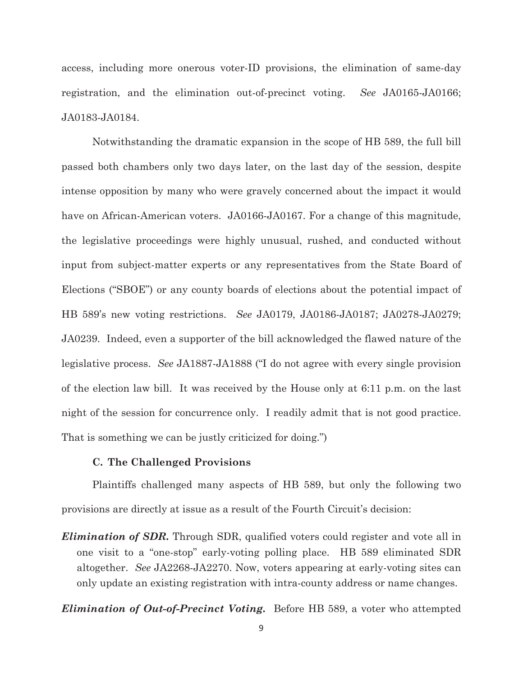access, including more onerous voter-ID provisions, the elimination of same-day registration, and the elimination out-of-precinct voting. *See* JA0165-JA0166; JA0183-JA0184.

 Notwithstanding the dramatic expansion in the scope of HB 589, the full bill passed both chambers only two days later, on the last day of the session, despite intense opposition by many who were gravely concerned about the impact it would have on African-American voters.JA0166-JA0167. For a change of this magnitude, the legislative proceedings were highly unusual, rushed, and conducted without input from subject-matter experts or any representatives from the State Board of Elections ("SBOE") or any county boards of elections about the potential impact of HB 589's new voting restrictions. *See* JA0179, JA0186-JA0187; JA0278-JA0279; JA0239. Indeed, even a supporter of the bill acknowledged the flawed nature of the legislative process. *See* JA1887-JA1888 ("I do not agree with every single provision of the election law bill. It was received by the House only at 6:11 p.m. on the last night of the session for concurrence only. I readily admit that is not good practice. That is something we can be justly criticized for doing.")

#### **C. The Challenged Provisions**

 Plaintiffs challenged many aspects of HB 589, but only the following two provisions are directly at issue as a result of the Fourth Circuit's decision:

*Elimination of SDR.* Through SDR, qualified voters could register and vote all in one visit to a "one-stop" early-voting polling place. HB 589 eliminated SDR altogether. *See* JA2268-JA2270. Now, voters appearing at early-voting sites can only update an existing registration with intra-county address or name changes.

*Elimination of Out-of-Precinct Voting.* Before HB 589, a voter who attempted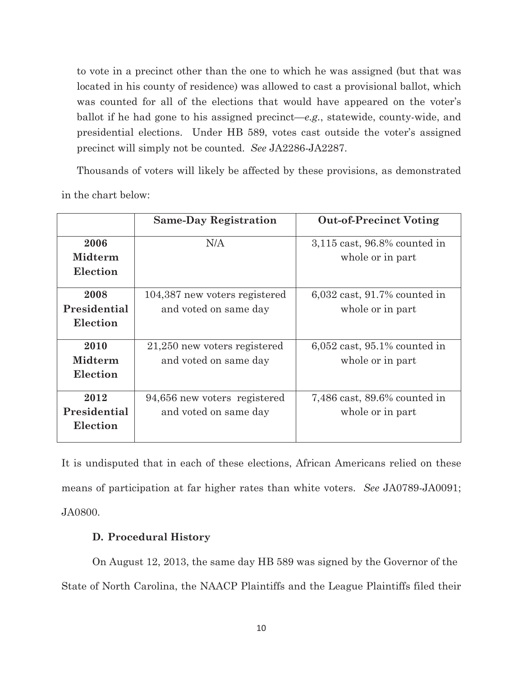to vote in a precinct other than the one to which he was assigned (but that was located in his county of residence) was allowed to cast a provisional ballot, which was counted for all of the elections that would have appeared on the voter's ballot if he had gone to his assigned precinct—*e.g.*, statewide, county-wide, and presidential elections. Under HB 589, votes cast outside the voter's assigned precinct will simply not be counted. *See* JA2286-JA2287.

Thousands of voters will likely be affected by these provisions, as demonstrated in the chart below:

|                | <b>Same-Day Registration</b>  | <b>Out-of-Precinct Voting</b>     |
|----------------|-------------------------------|-----------------------------------|
| 2006           | N/A                           | $3,115$ cast, 96.8% counted in    |
| <b>Midterm</b> |                               | whole or in part                  |
| Election       |                               |                                   |
| 2008           | 104,387 new voters registered | $6,032$ cast, $91.7\%$ counted in |
| Presidential   | and voted on same day         | whole or in part                  |
| Election       |                               |                                   |
| 2010           | 21,250 new voters registered  | $6,052$ cast, $95.1\%$ counted in |
| <b>Midterm</b> | and voted on same day         | whole or in part                  |
| Election       |                               |                                   |
| 2012           | 94,656 new voters registered  | $7,486$ cast, $89.6\%$ counted in |
| Presidential   | and voted on same day         | whole or in part                  |
| Election       |                               |                                   |

It is undisputed that in each of these elections, African Americans relied on these means of participation at far higher rates than white voters. *See* JA0789-JA0091; JA0800.

### **D. Procedural History**

On August 12, 2013, the same day HB 589 was signed by the Governor of the State of North Carolina, the NAACP Plaintiffs and the League Plaintiffs filed their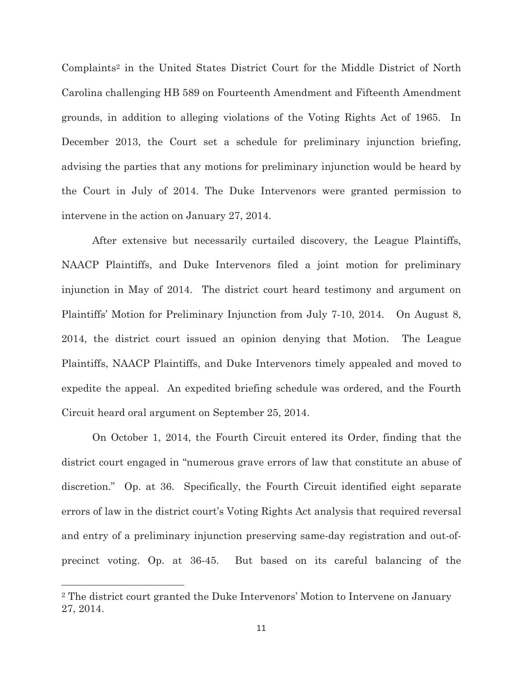Complaints2 in the United States District Court for the Middle District of North Carolina challenging HB 589 on Fourteenth Amendment and Fifteenth Amendment grounds, in addition to alleging violations of the Voting Rights Act of 1965. In December 2013, the Court set a schedule for preliminary injunction briefing, advising the parties that any motions for preliminary injunction would be heard by the Court in July of 2014. The Duke Intervenors were granted permission to intervene in the action on January 27, 2014.

After extensive but necessarily curtailed discovery, the League Plaintiffs, NAACP Plaintiffs, and Duke Intervenors filed a joint motion for preliminary injunction in May of 2014. The district court heard testimony and argument on Plaintiffs' Motion for Preliminary Injunction from July 7-10, 2014. On August 8, 2014, the district court issued an opinion denying that Motion. The League Plaintiffs, NAACP Plaintiffs, and Duke Intervenors timely appealed and moved to expedite the appeal. An expedited briefing schedule was ordered, and the Fourth Circuit heard oral argument on September 25, 2014.

On October 1, 2014, the Fourth Circuit entered its Order, finding that the district court engaged in "numerous grave errors of law that constitute an abuse of discretion." Op. at 36. Specifically, the Fourth Circuit identified eight separate errors of law in the district court's Voting Rights Act analysis that required reversal and entry of a preliminary injunction preserving same-day registration and out-ofprecinct voting. Op. at 36-45. But based on its careful balancing of the

<sup>2</sup> The district court granted the Duke Intervenors' Motion to Intervene on January 27, 2014.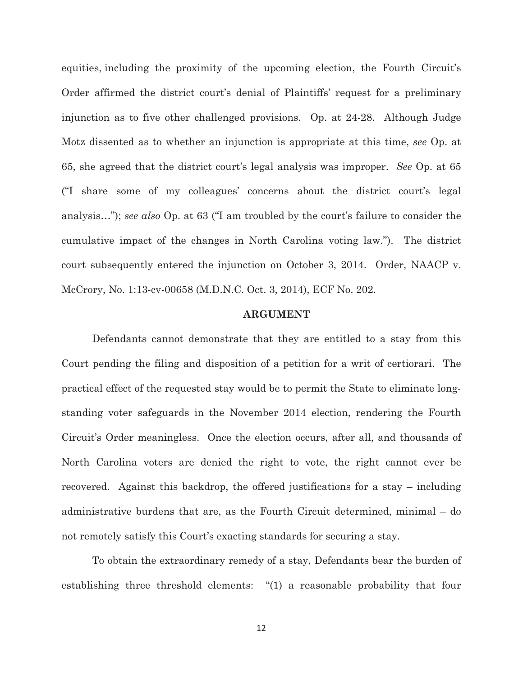equities, including the proximity of the upcoming election, the Fourth Circuit's Order affirmed the district court's denial of Plaintiffs' request for a preliminary injunction as to five other challenged provisions. Op. at 24-28. Although Judge Motz dissented as to whether an injunction is appropriate at this time, *see* Op. at 65, she agreed that the district court's legal analysis was improper. *See* Op. at 65 ("I share some of my colleagues' concerns about the district court's legal analysis…"); *see also* Op. at 63 ("I am troubled by the court's failure to consider the cumulative impact of the changes in North Carolina voting law."). The district court subsequently entered the injunction on October 3, 2014. Order, NAACP v. McCrory, No. 1:13-cv-00658 (M.D.N.C. Oct. 3, 2014), ECF No. 202.

#### **ARGUMENT**

Defendants cannot demonstrate that they are entitled to a stay from this Court pending the filing and disposition of a petition for a writ of certiorari. The practical effect of the requested stay would be to permit the State to eliminate longstanding voter safeguards in the November 2014 election, rendering the Fourth Circuit's Order meaningless. Once the election occurs, after all, and thousands of North Carolina voters are denied the right to vote, the right cannot ever be recovered. Against this backdrop, the offered justifications for a stay – including administrative burdens that are, as the Fourth Circuit determined, minimal – do not remotely satisfy this Court's exacting standards for securing a stay.

To obtain the extraordinary remedy of a stay, Defendants bear the burden of establishing three threshold elements: "(1) a reasonable probability that four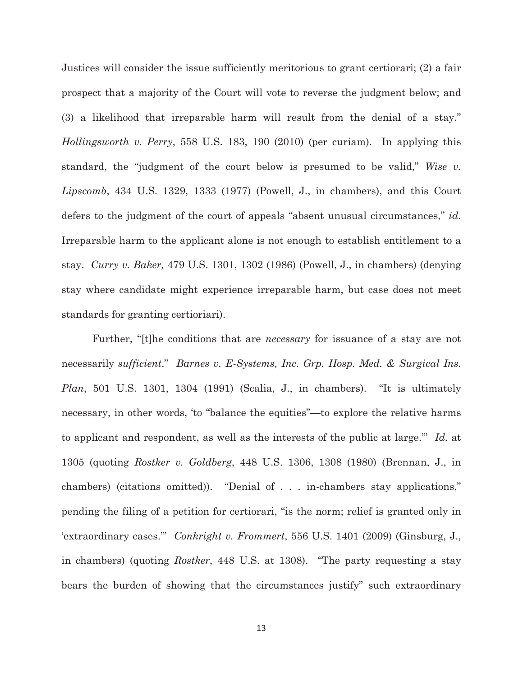Justices will consider the issue sufficiently meritorious to grant certiorari; (2) a fair prospect that a majority of the Court will vote to reverse the judgment below; and (3) a likelihood that irreparable harm will result from the denial of a stay." *Hollingsworth v. Perry*, 558 U.S. 183, 190 (2010) (per curiam). In applying this standard, the "judgment of the court below is presumed to be valid," *Wise v. Lipscomb*, 434 U.S. 1329, 1333 (1977) (Powell, J., in chambers), and this Court defers to the judgment of the court of appeals "absent unusual circumstances," *id.* Irreparable harm to the applicant alone is not enough to establish entitlement to a stay. *Curry v. Baker,* 479 U.S. 1301, 1302 (1986) (Powell, J., in chambers) (denying stay where candidate might experience irreparable harm, but case does not meet standards for granting certioriari).

Further, "[t]he conditions that are *necessary* for issuance of a stay are not necessarily *sufficient*." *Barnes v. E-Systems, Inc. Grp. Hosp. Med. & Surgical Ins. Plan*, 501 U.S. 1301, 1304 (1991) (Scalia, J., in chambers). "It is ultimately necessary, in other words, 'to "balance the equities"—to explore the relative harms to applicant and respondent, as well as the interests of the public at large.'" *Id.* at 1305 (quoting *Rostker v. Goldberg*, 448 U.S. 1306, 1308 (1980) (Brennan, J., in chambers) (citations omitted)). "Denial of . . . in-chambers stay applications," pending the filing of a petition for certiorari, "is the norm; relief is granted only in 'extraordinary cases.'" *Conkright v. Frommert*, 556 U.S. 1401 (2009) (Ginsburg, J., in chambers) (quoting *Rostker*, 448 U.S. at 1308). "The party requesting a stay bears the burden of showing that the circumstances justify" such extraordinary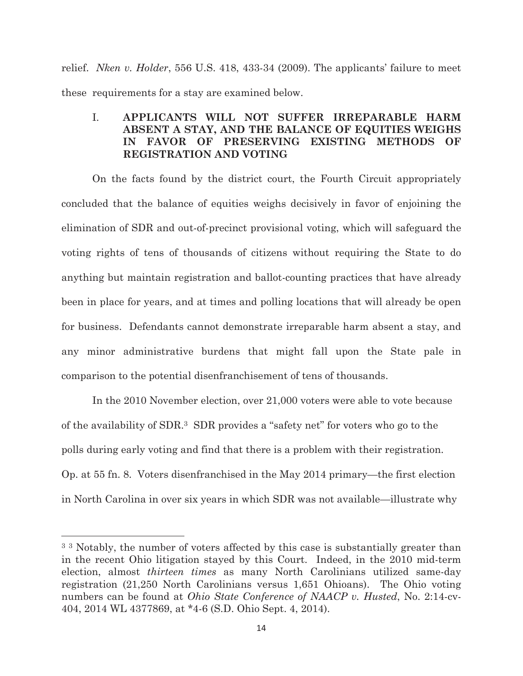relief. *Nken v. Holder*, 556 U.S. 418, 433-34 (2009). The applicants' failure to meet these requirements for a stay are examined below.

### I. **APPLICANTS WILL NOT SUFFER IRREPARABLE HARM ABSENT A STAY, AND THE BALANCE OF EQUITIES WEIGHS IN FAVOR OF PRESERVING EXISTING METHODS OF REGISTRATION AND VOTING**

On the facts found by the district court, the Fourth Circuit appropriately concluded that the balance of equities weighs decisively in favor of enjoining the elimination of SDR and out-of-precinct provisional voting, which will safeguard the voting rights of tens of thousands of citizens without requiring the State to do anything but maintain registration and ballot-counting practices that have already been in place for years, and at times and polling locations that will already be open for business. Defendants cannot demonstrate irreparable harm absent a stay, and any minor administrative burdens that might fall upon the State pale in comparison to the potential disenfranchisement of tens of thousands.

In the 2010 November election, over 21,000 voters were able to vote because of the availability of SDR.3 SDR provides a "safety net" for voters who go to the polls during early voting and find that there is a problem with their registration. Op. at 55 fn. 8. Voters disenfranchised in the May 2014 primary—the first election in North Carolina in over six years in which SDR was not available—illustrate why

<sup>&</sup>lt;sup>3</sup> <sup>3</sup> Notably, the number of voters affected by this case is substantially greater than in the recent Ohio litigation stayed by this Court. Indeed, in the 2010 mid-term election, almost *thirteen times* as many North Carolinians utilized same-day registration (21,250 North Carolinians versus 1,651 Ohioans). The Ohio voting numbers can be found at *Ohio State Conference of NAACP v. Husted*, No. 2:14-cv-404, 2014 WL 4377869, at \*4-6 (S.D. Ohio Sept. 4, 2014).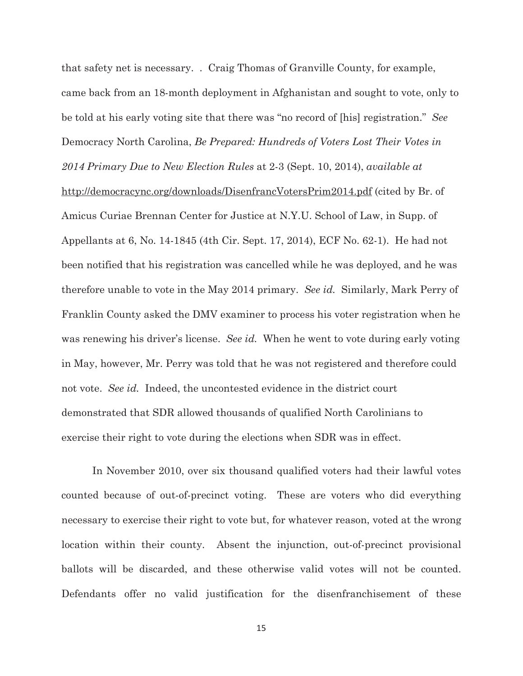that safety net is necessary. . Craig Thomas of Granville County, for example, came back from an 18-month deployment in Afghanistan and sought to vote, only to be told at his early voting site that there was "no record of [his] registration." *See*  Democracy North Carolina, *Be Prepared: Hundreds of Voters Lost Their Votes in 2014 Primary Due to New Election Rules* at 2-3 (Sept. 10, 2014), *available at* http://democracync.org/downloads/DisenfrancVotersPrim2014.pdf (cited by Br. of Amicus Curiae Brennan Center for Justice at N.Y.U. School of Law, in Supp. of Appellants at 6, No. 14-1845 (4th Cir. Sept. 17, 2014), ECF No. 62-1). He had not been notified that his registration was cancelled while he was deployed, and he was therefore unable to vote in the May 2014 primary. *See id.* Similarly, Mark Perry of Franklin County asked the DMV examiner to process his voter registration when he was renewing his driver's license. *See id.* When he went to vote during early voting in May, however, Mr. Perry was told that he was not registered and therefore could not vote. *See id.* Indeed, the uncontested evidence in the district court demonstrated that SDR allowed thousands of qualified North Carolinians to exercise their right to vote during the elections when SDR was in effect.

In November 2010, over six thousand qualified voters had their lawful votes counted because of out-of-precinct voting. These are voters who did everything necessary to exercise their right to vote but, for whatever reason, voted at the wrong location within their county. Absent the injunction, out-of-precinct provisional ballots will be discarded, and these otherwise valid votes will not be counted. Defendants offer no valid justification for the disenfranchisement of these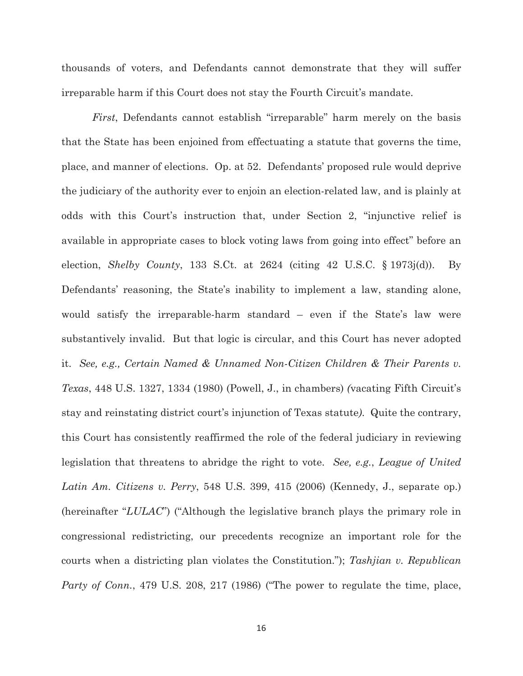thousands of voters, and Defendants cannot demonstrate that they will suffer irreparable harm if this Court does not stay the Fourth Circuit's mandate.

*First*, Defendants cannot establish "irreparable" harm merely on the basis that the State has been enjoined from effectuating a statute that governs the time, place, and manner of elections. Op. at 52. Defendants' proposed rule would deprive the judiciary of the authority ever to enjoin an election-related law, and is plainly at odds with this Court's instruction that, under Section 2, "injunctive relief is available in appropriate cases to block voting laws from going into effect" before an election, *Shelby County*, 133 S.Ct. at 2624 (citing 42 U.S.C. § 1973j(d)). By Defendants' reasoning, the State's inability to implement a law, standing alone, would satisfy the irreparable-harm standard – even if the State's law were substantively invalid. But that logic is circular, and this Court has never adopted it. *See, e.g., Certain Named & Unnamed Non-Citizen Children & Their Parents v. Texas*, 448 U.S. 1327, 1334 (1980) (Powell, J., in chambers) *(*vacating Fifth Circuit's stay and reinstating district court's injunction of Texas statute*)*. Quite the contrary, this Court has consistently reaffirmed the role of the federal judiciary in reviewing legislation that threatens to abridge the right to vote. *See, e.g.*, *League of United Latin Am. Citizens v. Perry*, 548 U.S. 399, 415 (2006) (Kennedy, J., separate op.) (hereinafter "*LULAC*") ("Although the legislative branch plays the primary role in congressional redistricting, our precedents recognize an important role for the courts when a districting plan violates the Constitution."); *Tashjian v. Republican Party of Conn.*, 479 U.S. 208, 217 (1986) ("The power to regulate the time, place,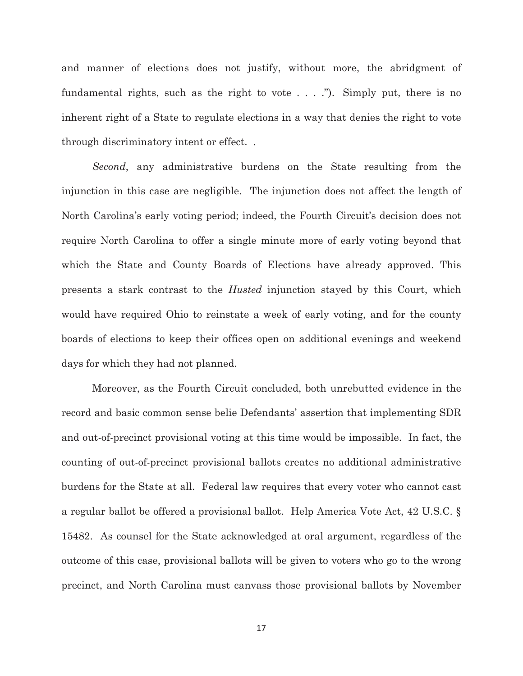and manner of elections does not justify, without more, the abridgment of fundamental rights, such as the right to vote . . . ."). Simply put, there is no inherent right of a State to regulate elections in a way that denies the right to vote through discriminatory intent or effect. .

*Second*, any administrative burdens on the State resulting from the injunction in this case are negligible. The injunction does not affect the length of North Carolina's early voting period; indeed, the Fourth Circuit's decision does not require North Carolina to offer a single minute more of early voting beyond that which the State and County Boards of Elections have already approved. This presents a stark contrast to the *Husted* injunction stayed by this Court, which would have required Ohio to reinstate a week of early voting, and for the county boards of elections to keep their offices open on additional evenings and weekend days for which they had not planned.

Moreover, as the Fourth Circuit concluded, both unrebutted evidence in the record and basic common sense belie Defendants' assertion that implementing SDR and out-of-precinct provisional voting at this time would be impossible. In fact, the counting of out-of-precinct provisional ballots creates no additional administrative burdens for the State at all. Federal law requires that every voter who cannot cast a regular ballot be offered a provisional ballot. Help America Vote Act, 42 U.S.C. § 15482. As counsel for the State acknowledged at oral argument, regardless of the outcome of this case, provisional ballots will be given to voters who go to the wrong precinct, and North Carolina must canvass those provisional ballots by November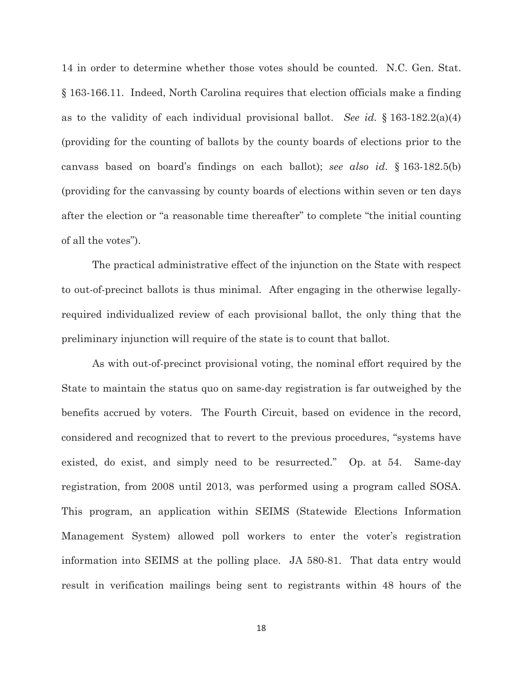14 in order to determine whether those votes should be counted. N.C. Gen. Stat. § 163-166.11. Indeed, North Carolina requires that election officials make a finding as to the validity of each individual provisional ballot. *See id.* § 163-182.2(a)(4) (providing for the counting of ballots by the county boards of elections prior to the canvass based on board's findings on each ballot); *see also id*. § 163-182.5(b) (providing for the canvassing by county boards of elections within seven or ten days after the election or "a reasonable time thereafter" to complete "the initial counting of all the votes").

The practical administrative effect of the injunction on the State with respect to out-of-precinct ballots is thus minimal. After engaging in the otherwise legallyrequired individualized review of each provisional ballot, the only thing that the preliminary injunction will require of the state is to count that ballot.

As with out-of-precinct provisional voting, the nominal effort required by the State to maintain the status quo on same-day registration is far outweighed by the benefits accrued by voters. The Fourth Circuit, based on evidence in the record, considered and recognized that to revert to the previous procedures, "systems have existed, do exist, and simply need to be resurrected." Op. at 54. Same-day registration, from 2008 until 2013, was performed using a program called SOSA. This program, an application within SEIMS (Statewide Elections Information Management System) allowed poll workers to enter the voter's registration information into SEIMS at the polling place. JA 580-81. That data entry would result in verification mailings being sent to registrants within 48 hours of the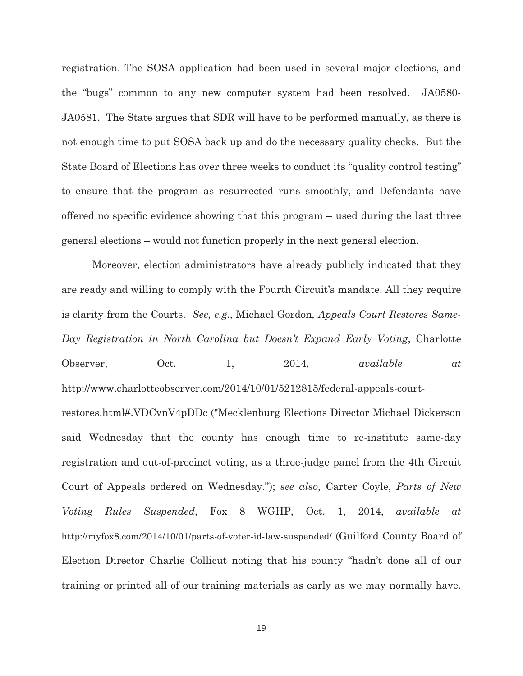registration. The SOSA application had been used in several major elections, and the "bugs" common to any new computer system had been resolved. JA0580- JA0581. The State argues that SDR will have to be performed manually, as there is not enough time to put SOSA back up and do the necessary quality checks. But the State Board of Elections has over three weeks to conduct its "quality control testing" to ensure that the program as resurrected runs smoothly, and Defendants have offered no specific evidence showing that this program – used during the last three general elections – would not function properly in the next general election.

Moreover, election administrators have already publicly indicated that they are ready and willing to comply with the Fourth Circuit's mandate. All they require is clarity from the Courts. *See, e.g.,* Michael Gordon*, Appeals Court Restores Same-Day Registration in North Carolina but Doesn't Expand Early Voting*, Charlotte Observer, Oct. 1, 2014, *available at* http://www.charlotteobserver.com/2014/10/01/5212815/federal-appeals-courtrestores.html#.VDCvnV4pDDc ("Mecklenburg Elections Director Michael Dickerson said Wednesday that the county has enough time to re-institute same-day registration and out-of-precinct voting, as a three-judge panel from the 4th Circuit Court of Appeals ordered on Wednesday."); *see also*, Carter Coyle, *Parts of New Voting Rules Suspended*, Fox 8 WGHP, Oct. 1, 2014, *available at* http://myfox8.com/2014/10/01/parts-of-voter-id-law-suspended/ (Guilford County Board of Election Director Charlie Collicut noting that his county "hadn't done all of our training or printed all of our training materials as early as we may normally have.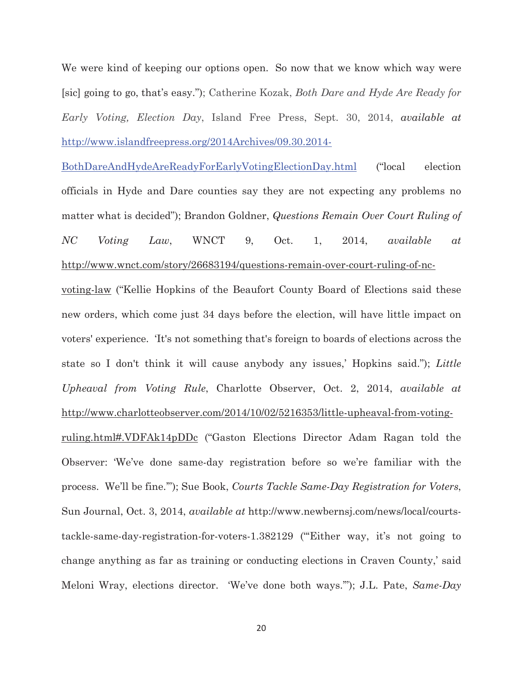We were kind of keeping our options open. So now that we know which way were [sic] going to go, that's easy."); Catherine Kozak, *Both Dare and Hyde Are Ready for Early Voting, Election Day*, Island Free Press, Sept. 30, 2014, *available at* http://www.islandfreepress.org/2014Archives/09.30.2014-

BothDareAndHydeAreReadyForEarlyVotingElectionDay.html ("local election officials in Hyde and Dare counties say they are not expecting any problems no matter what is decided"); Brandon Goldner, *Questions Remain Over Court Ruling of NC Voting Law*, WNCT 9, Oct. 1, 2014, *available at* http://www.wnct.com/story/26683194/questions-remain-over-court-ruling-of-nc-

voting-law ("Kellie Hopkins of the Beaufort County Board of Elections said these new orders, which come just 34 days before the election, will have little impact on voters' experience. 'It's not something that's foreign to boards of elections across the state so I don't think it will cause anybody any issues,' Hopkins said."); *Little Upheaval from Voting Rule*, Charlotte Observer, Oct. 2, 2014, *available at* http://www.charlotteobserver.com/2014/10/02/5216353/little-upheaval-from-voting-

ruling.html#.VDFAk14pDDc ("Gaston Elections Director Adam Ragan told the Observer: 'We've done same-day registration before so we're familiar with the process. We'll be fine.'"); Sue Book, *Courts Tackle Same-Day Registration for Voters*, Sun Journal, Oct. 3, 2014, *available at* http://www.newbernsj.com/news/local/courtstackle-same-day-registration-for-voters-1.382129 ("'Either way, it's not going to change anything as far as training or conducting elections in Craven County,' said Meloni Wray, elections director. 'We've done both ways.'"); J.L. Pate, *Same-Day*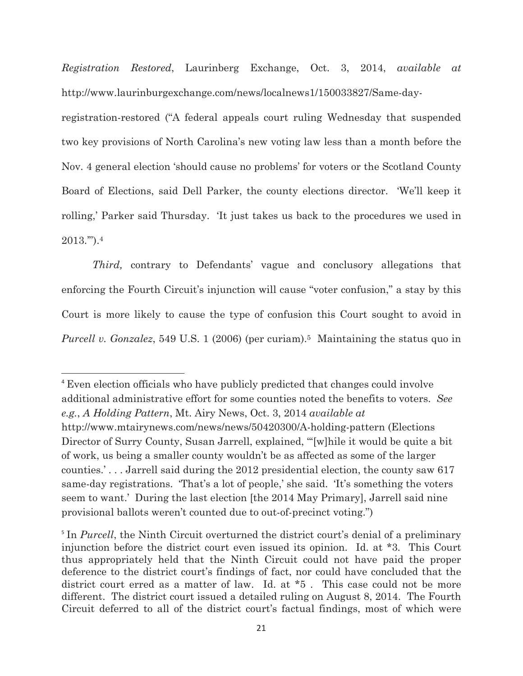*Registration Restored*, Laurinberg Exchange, Oct. 3, 2014, *available at* http://www.laurinburgexchange.com/news/localnews1/150033827/Same-day-

registration-restored ("A federal appeals court ruling Wednesday that suspended two key provisions of North Carolina's new voting law less than a month before the Nov. 4 general election 'should cause no problems' for voters or the Scotland County Board of Elections, said Dell Parker, the county elections director. 'We'll keep it rolling,' Parker said Thursday. 'It just takes us back to the procedures we used in 2013.'").4

*Third,* contrary to Defendants' vague and conclusory allegations that enforcing the Fourth Circuit's injunction will cause "voter confusion," a stay by this Court is more likely to cause the type of confusion this Court sought to avoid in *Purcell v. Gonzalez*, 549 U.S. 1 (2006) (per curiam).<sup>5</sup> Maintaining the status quo in

<sup>4</sup> Even election officials who have publicly predicted that changes could involve additional administrative effort for some counties noted the benefits to voters. *See e.g.*, *A Holding Pattern*, Mt. Airy News, Oct. 3, 2014 *available at* http://www.mtairynews.com/news/news/50420300/A-holding-pattern (Elections Director of Surry County, Susan Jarrell, explained, "'[w]hile it would be quite a bit of work, us being a smaller county wouldn't be as affected as some of the larger counties.' . . . Jarrell said during the 2012 presidential election, the county saw 617 same-day registrations. 'That's a lot of people,' she said. 'It's something the voters seem to want.' During the last election [the 2014 May Primary], Jarrell said nine provisional ballots weren't counted due to out-of-precinct voting.")

<sup>&</sup>lt;sup>5</sup> In *Purcell*, the Ninth Circuit overturned the district court's denial of a preliminary injunction before the district court even issued its opinion. Id. at \*3. This Court thus appropriately held that the Ninth Circuit could not have paid the proper deference to the district court's findings of fact, nor could have concluded that the district court erred as a matter of law. Id. at  $*5$ . This case could not be more different. The district court issued a detailed ruling on August 8, 2014. The Fourth Circuit deferred to all of the district court's factual findings, most of which were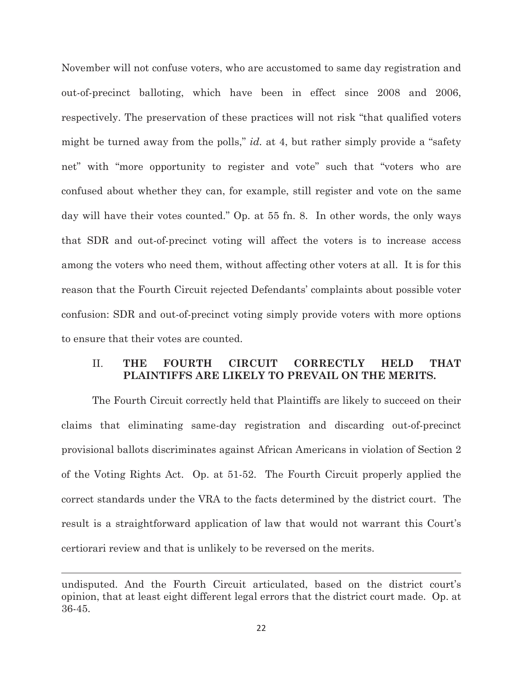November will not confuse voters, who are accustomed to same day registration and out-of-precinct balloting, which have been in effect since 2008 and 2006, respectively. The preservation of these practices will not risk "that qualified voters might be turned away from the polls," *id.* at 4, but rather simply provide a "safety net" with "more opportunity to register and vote" such that "voters who are confused about whether they can, for example, still register and vote on the same day will have their votes counted." Op. at 55 fn. 8. In other words, the only ways that SDR and out-of-precinct voting will affect the voters is to increase access among the voters who need them, without affecting other voters at all. It is for this reason that the Fourth Circuit rejected Defendants' complaints about possible voter confusion: SDR and out-of-precinct voting simply provide voters with more options to ensure that their votes are counted.

### II. **THE FOURTH CIRCUIT CORRECTLY HELD THAT PLAINTIFFS ARE LIKELY TO PREVAIL ON THE MERITS.**

The Fourth Circuit correctly held that Plaintiffs are likely to succeed on their claims that eliminating same-day registration and discarding out-of-precinct provisional ballots discriminates against African Americans in violation of Section 2 of the Voting Rights Act. Op. at 51-52. The Fourth Circuit properly applied the correct standards under the VRA to the facts determined by the district court. The result is a straightforward application of law that would not warrant this Court's certiorari review and that is unlikely to be reversed on the merits.

undisputed. And the Fourth Circuit articulated, based on the district court's opinion, that at least eight different legal errors that the district court made. Op. at 36-45.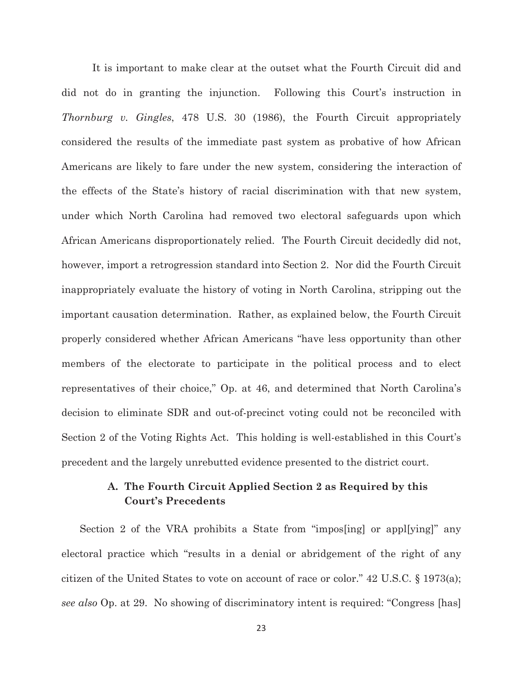It is important to make clear at the outset what the Fourth Circuit did and did not do in granting the injunction. Following this Court's instruction in *Thornburg v. Gingles*, 478 U.S. 30 (1986), the Fourth Circuit appropriately considered the results of the immediate past system as probative of how African Americans are likely to fare under the new system, considering the interaction of the effects of the State's history of racial discrimination with that new system, under which North Carolina had removed two electoral safeguards upon which African Americans disproportionately relied. The Fourth Circuit decidedly did not, however, import a retrogression standard into Section 2. Nor did the Fourth Circuit inappropriately evaluate the history of voting in North Carolina, stripping out the important causation determination. Rather, as explained below, the Fourth Circuit properly considered whether African Americans "have less opportunity than other members of the electorate to participate in the political process and to elect representatives of their choice," Op. at 46, and determined that North Carolina's decision to eliminate SDR and out-of-precinct voting could not be reconciled with Section 2 of the Voting Rights Act. This holding is well-established in this Court's precedent and the largely unrebutted evidence presented to the district court.

### **A. The Fourth Circuit Applied Section 2 as Required by this Court's Precedents**

 Section 2 of the VRA prohibits a State from "impos[ing] or appl[ying]" any electoral practice which "results in a denial or abridgement of the right of any citizen of the United States to vote on account of race or color." 42 U.S.C. § 1973(a); *see also* Op. at 29. No showing of discriminatory intent is required: "Congress [has]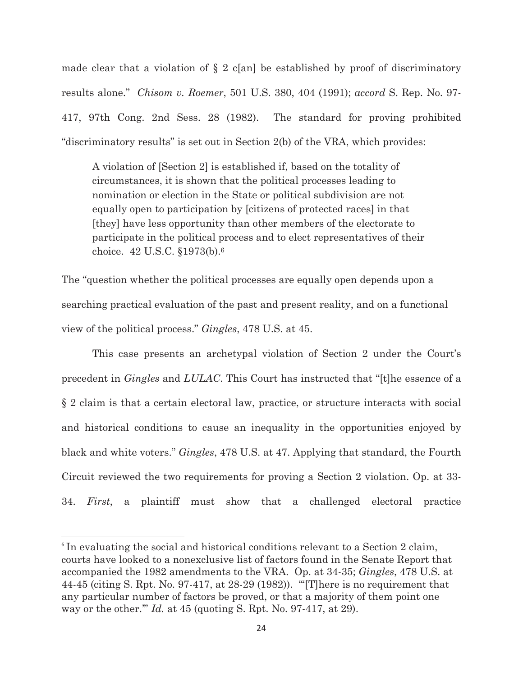made clear that a violation of  $\S 2$  c[an] be established by proof of discriminatory results alone." *Chisom v. Roemer*, 501 U.S. 380, 404 (1991); *accord* S. Rep. No. 97- 417, 97th Cong. 2nd Sess. 28 (1982). The standard for proving prohibited "discriminatory results" is set out in Section 2(b) of the VRA, which provides:

 A violation of [Section 2] is established if, based on the totality of circumstances, it is shown that the political processes leading to nomination or election in the State or political subdivision are not equally open to participation by [citizens of protected races] in that [they] have less opportunity than other members of the electorate to participate in the political process and to elect representatives of their choice. 42 U.S.C. §1973(b).6

The "question whether the political processes are equally open depends upon a searching practical evaluation of the past and present reality, and on a functional view of the political process." *Gingles*, 478 U.S. at 45.

This case presents an archetypal violation of Section 2 under the Court's precedent in *Gingles* and *LULAC*. This Court has instructed that "[t]he essence of a § 2 claim is that a certain electoral law, practice, or structure interacts with social and historical conditions to cause an inequality in the opportunities enjoyed by black and white voters." *Gingles*, 478 U.S. at 47. Applying that standard, the Fourth Circuit reviewed the two requirements for proving a Section 2 violation. Op. at 33- 34. *First*, a plaintiff must show that a challenged electoral practice

<sup>&</sup>lt;sup>6</sup> In evaluating the social and historical conditions relevant to a Section 2 claim, courts have looked to a nonexclusive list of factors found in the Senate Report that accompanied the 1982 amendments to the VRA. Op. at 34-35; *Gingles*, 478 U.S. at 44-45 (citing S. Rpt. No. 97-417, at 28-29 (1982)). "'[T]here is no requirement that any particular number of factors be proved, or that a majority of them point one way or the other.'" *Id.* at 45 (quoting S. Rpt. No. 97-417, at 29).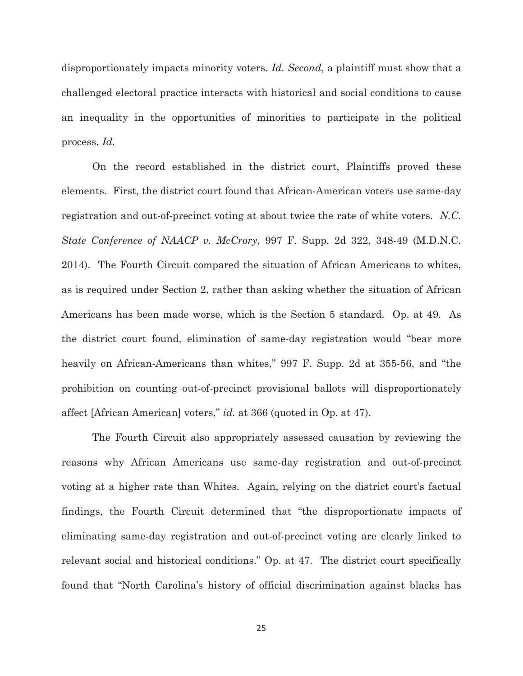disproportionately impacts minority voters. *Id. Second*, a plaintiff must show that a challenged electoral practice interacts with historical and social conditions to cause an inequality in the opportunities of minorities to participate in the political process. *Id.*

On the record established in the district court, Plaintiffs proved these elements. First, the district court found that African-American voters use same-day registration and out-of-precinct voting at about twice the rate of white voters. *N.C. State Conference of NAACP v. McCrory*, 997 F. Supp. 2d 322, 348-49 (M.D.N.C. 2014). The Fourth Circuit compared the situation of African Americans to whites, as is required under Section 2, rather than asking whether the situation of African Americans has been made worse, which is the Section 5 standard. Op. at 49. As the district court found, elimination of same-day registration would "bear more heavily on African-Americans than whites," 997 F. Supp. 2d at 355-56, and "the prohibition on counting out-of-precinct provisional ballots will disproportionately affect [African American] voters," *id.* at 366 (quoted in Op. at 47).

The Fourth Circuit also appropriately assessed causation by reviewing the reasons why African Americans use same-day registration and out-of-precinct voting at a higher rate than Whites. Again, relying on the district court's factual findings, the Fourth Circuit determined that "the disproportionate impacts of eliminating same-day registration and out-of-precinct voting are clearly linked to relevant social and historical conditions." Op. at 47. The district court specifically found that "North Carolina's history of official discrimination against blacks has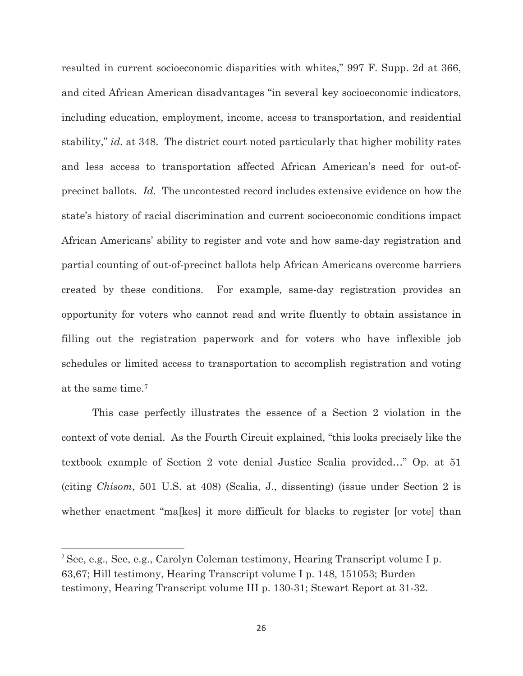resulted in current socioeconomic disparities with whites," 997 F. Supp. 2d at 366, and cited African American disadvantages "in several key socioeconomic indicators, including education, employment, income, access to transportation, and residential stability," *id.* at 348. The district court noted particularly that higher mobility rates and less access to transportation affected African American's need for out-ofprecinct ballots. *Id.* The uncontested record includes extensive evidence on how the state's history of racial discrimination and current socioeconomic conditions impact African Americans' ability to register and vote and how same-day registration and partial counting of out-of-precinct ballots help African Americans overcome barriers created by these conditions. For example, same-day registration provides an opportunity for voters who cannot read and write fluently to obtain assistance in filling out the registration paperwork and for voters who have inflexible job schedules or limited access to transportation to accomplish registration and voting at the same time.7

This case perfectly illustrates the essence of a Section 2 violation in the context of vote denial. As the Fourth Circuit explained, "this looks precisely like the textbook example of Section 2 vote denial Justice Scalia provided…" Op. at 51 (citing *Chisom*, 501 U.S. at 408) (Scalia, J., dissenting) (issue under Section 2 is whether enactment "malkes] it more difficult for blacks to register [or vote] than

<sup>7</sup> See, e.g., See, e.g., Carolyn Coleman testimony, Hearing Transcript volume I p. 63,67; Hill testimony, Hearing Transcript volume I p. 148, 151053; Burden testimony, Hearing Transcript volume III p. 130-31; Stewart Report at 31-32.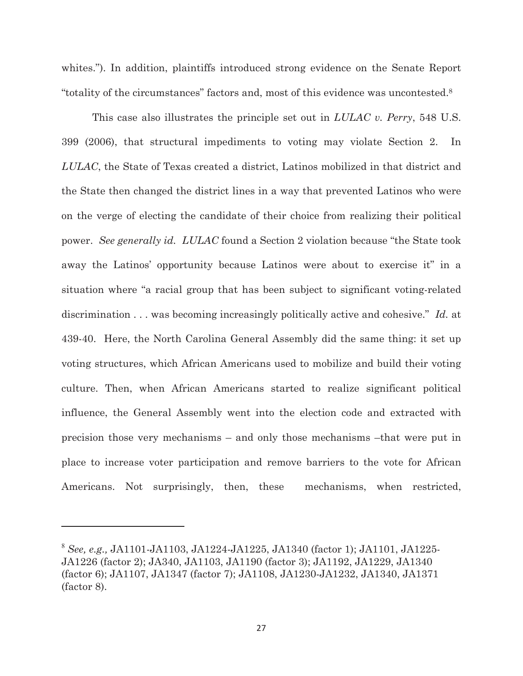whites."). In addition, plaintiffs introduced strong evidence on the Senate Report "totality of the circumstances" factors and, most of this evidence was uncontested.8

This case also illustrates the principle set out in *LULAC v. Perry*, 548 U.S. 399 (2006), that structural impediments to voting may violate Section 2. In *LULAC*, the State of Texas created a district, Latinos mobilized in that district and the State then changed the district lines in a way that prevented Latinos who were on the verge of electing the candidate of their choice from realizing their political power. *See generally id. LULAC* found a Section 2 violation because "the State took away the Latinos' opportunity because Latinos were about to exercise it" in a situation where "a racial group that has been subject to significant voting-related discrimination . . . was becoming increasingly politically active and cohesive." *Id.* at 439-40. Here, the North Carolina General Assembly did the same thing: it set up voting structures, which African Americans used to mobilize and build their voting culture. Then, when African Americans started to realize significant political influence, the General Assembly went into the election code and extracted with precision those very mechanisms – and only those mechanisms –that were put in place to increase voter participation and remove barriers to the vote for African Americans. Not surprisingly, then, these mechanisms, when restricted,

<sup>8</sup> *See, e.g.,* JA1101-JA1103, JA1224-JA1225, JA1340 (factor 1); JA1101, JA1225- JA1226 (factor 2); JA340, JA1103, JA1190 (factor 3); JA1192, JA1229, JA1340 (factor 6); JA1107, JA1347 (factor 7); JA1108, JA1230-JA1232, JA1340, JA1371 (factor 8).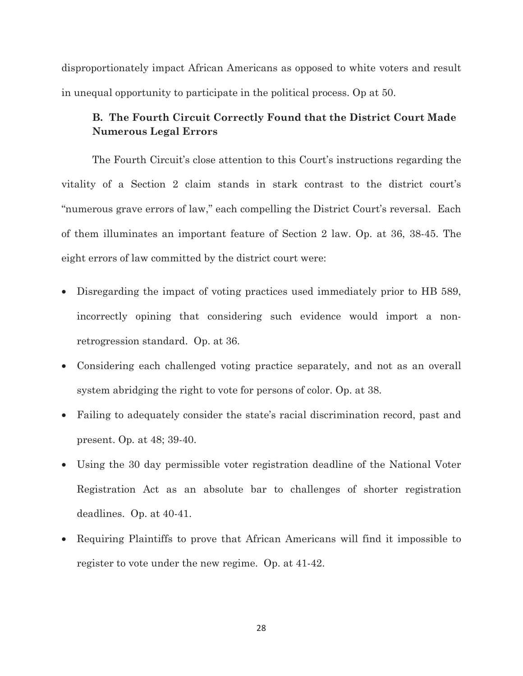disproportionately impact African Americans as opposed to white voters and result in unequal opportunity to participate in the political process. Op at 50.

### **B. The Fourth Circuit Correctly Found that the District Court Made Numerous Legal Errors**

The Fourth Circuit's close attention to this Court's instructions regarding the vitality of a Section 2 claim stands in stark contrast to the district court's "numerous grave errors of law," each compelling the District Court's reversal. Each of them illuminates an important feature of Section 2 law. Op. at 36, 38-45. The eight errors of law committed by the district court were:

- Disregarding the impact of voting practices used immediately prior to HB 589, incorrectly opining that considering such evidence would import a nonretrogression standard. Op. at 36.
- Considering each challenged voting practice separately, and not as an overall system abridging the right to vote for persons of color. Op. at 38.
- Failing to adequately consider the state's racial discrimination record, past and present. Op*.* at 48; 39-40.
- Using the 30 day permissible voter registration deadline of the National Voter Registration Act as an absolute bar to challenges of shorter registration deadlines. Op. at 40-41.
- Requiring Plaintiffs to prove that African Americans will find it impossible to register to vote under the new regime. Op. at 41-42.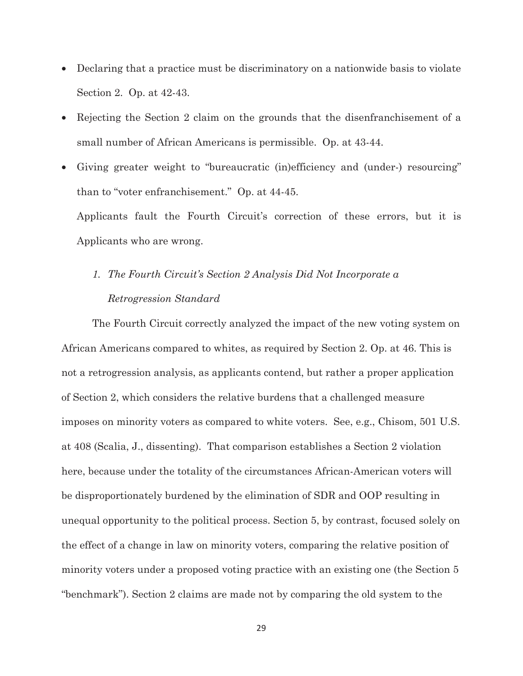- Declaring that a practice must be discriminatory on a nationwide basis to violate Section 2. Op. at 42-43.
- Rejecting the Section 2 claim on the grounds that the disenfranchisement of a small number of African Americans is permissible. Op. at 43-44.
- Giving greater weight to "bureaucratic (in)efficiency and (under-) resourcing" than to "voter enfranchisement." Op. at 44-45.

Applicants fault the Fourth Circuit's correction of these errors, but it is Applicants who are wrong.

# *1. The Fourth Circuit's Section 2 Analysis Did Not Incorporate a Retrogression Standard*

The Fourth Circuit correctly analyzed the impact of the new voting system on African Americans compared to whites, as required by Section 2. Op. at 46. This is not a retrogression analysis, as applicants contend, but rather a proper application of Section 2, which considers the relative burdens that a challenged measure imposes on minority voters as compared to white voters. See, e.g., Chisom, 501 U.S. at 408 (Scalia, J., dissenting). That comparison establishes a Section 2 violation here, because under the totality of the circumstances African-American voters will be disproportionately burdened by the elimination of SDR and OOP resulting in unequal opportunity to the political process. Section 5, by contrast, focused solely on the effect of a change in law on minority voters, comparing the relative position of minority voters under a proposed voting practice with an existing one (the Section 5 "benchmark"). Section 2 claims are made not by comparing the old system to the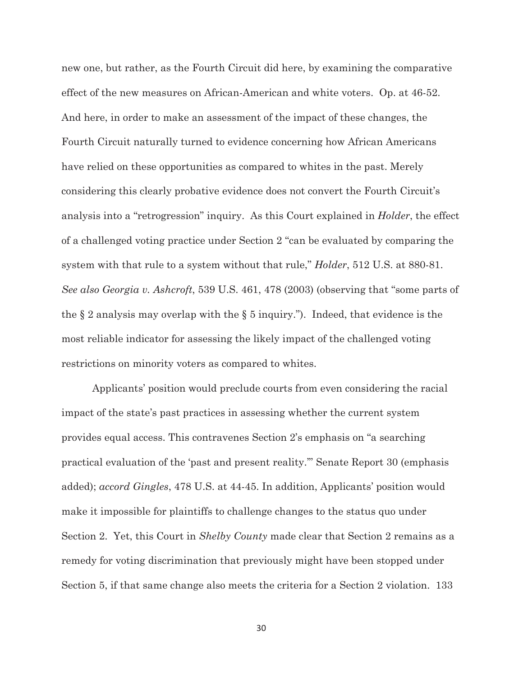new one, but rather, as the Fourth Circuit did here, by examining the comparative effect of the new measures on African-American and white voters. Op. at 46-52. And here, in order to make an assessment of the impact of these changes, the Fourth Circuit naturally turned to evidence concerning how African Americans have relied on these opportunities as compared to whites in the past. Merely considering this clearly probative evidence does not convert the Fourth Circuit's analysis into a "retrogression" inquiry. As this Court explained in *Holder*, the effect of a challenged voting practice under Section 2 "can be evaluated by comparing the system with that rule to a system without that rule," *Holder*, 512 U.S. at 880-81. *See also Georgia v. Ashcroft*, 539 U.S. 461, 478 (2003) (observing that "some parts of the  $\S 2$  analysis may overlap with the  $\S 5$  inquiry."). Indeed, that evidence is the most reliable indicator for assessing the likely impact of the challenged voting restrictions on minority voters as compared to whites.

Applicants' position would preclude courts from even considering the racial impact of the state's past practices in assessing whether the current system provides equal access. This contravenes Section 2's emphasis on "a searching practical evaluation of the 'past and present reality.'" Senate Report 30 (emphasis added); *accord Gingles*, 478 U.S. at 44-45. In addition, Applicants' position would make it impossible for plaintiffs to challenge changes to the status quo under Section 2. Yet, this Court in *Shelby County* made clear that Section 2 remains as a remedy for voting discrimination that previously might have been stopped under Section 5, if that same change also meets the criteria for a Section 2 violation. 133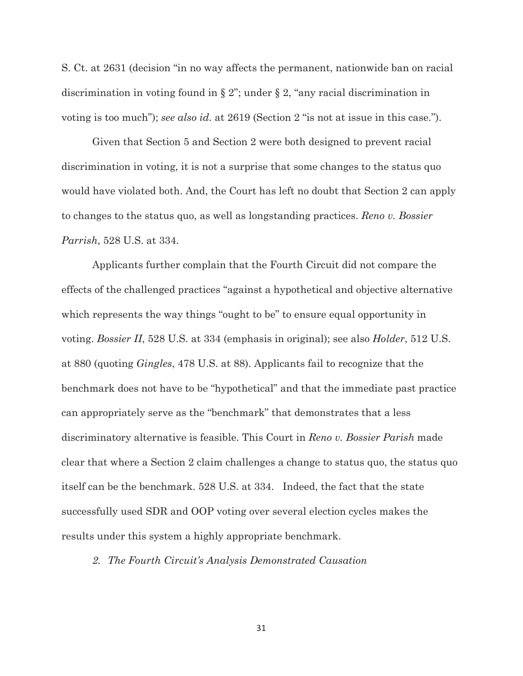S. Ct. at 2631 (decision "in no way affects the permanent, nationwide ban on racial discrimination in voting found in § 2"; under § 2, "any racial discrimination in voting is too much"); *see also id.* at 2619 (Section 2 "is not at issue in this case.").

Given that Section 5 and Section 2 were both designed to prevent racial discrimination in voting, it is not a surprise that some changes to the status quo would have violated both. And, the Court has left no doubt that Section 2 can apply to changes to the status quo, as well as longstanding practices. *Reno v. Bossier Parrish*, 528 U.S. at 334.

Applicants further complain that the Fourth Circuit did not compare the effects of the challenged practices "against a hypothetical and objective alternative which represents the way things "ought to be" to ensure equal opportunity in voting. *Bossier II*, 528 U.S. at 334 (emphasis in original); see also *Holder*, 512 U.S. at 880 (quoting *Gingles*, 478 U.S. at 88). Applicants fail to recognize that the benchmark does not have to be "hypothetical" and that the immediate past practice can appropriately serve as the "benchmark" that demonstrates that a less discriminatory alternative is feasible. This Court in *Reno v. Bossier Parish* made clear that where a Section 2 claim challenges a change to status quo, the status quo itself can be the benchmark. 528 U.S. at 334. Indeed, the fact that the state successfully used SDR and OOP voting over several election cycles makes the results under this system a highly appropriate benchmark.

*2. The Fourth Circuit's Analysis Demonstrated Causation*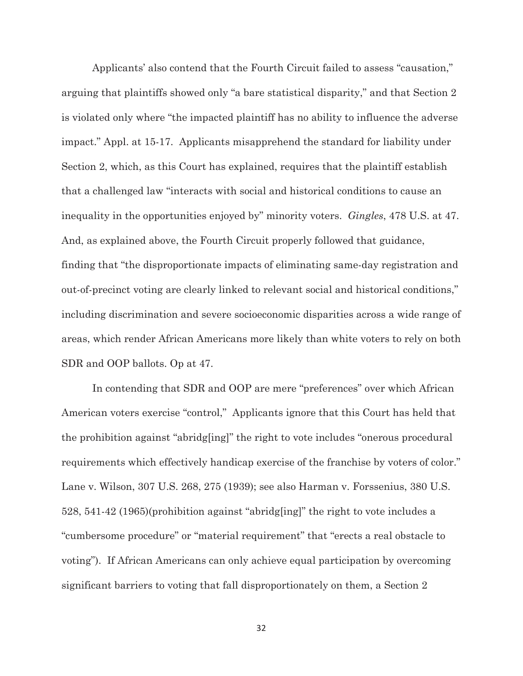Applicants' also contend that the Fourth Circuit failed to assess "causation," arguing that plaintiffs showed only "a bare statistical disparity," and that Section 2 is violated only where "the impacted plaintiff has no ability to influence the adverse impact." Appl. at 15-17. Applicants misapprehend the standard for liability under Section 2, which, as this Court has explained, requires that the plaintiff establish that a challenged law "interacts with social and historical conditions to cause an inequality in the opportunities enjoyed by" minority voters. *Gingles*, 478 U.S. at 47. And, as explained above, the Fourth Circuit properly followed that guidance, finding that "the disproportionate impacts of eliminating same-day registration and out-of-precinct voting are clearly linked to relevant social and historical conditions," including discrimination and severe socioeconomic disparities across a wide range of areas, which render African Americans more likely than white voters to rely on both SDR and OOP ballots. Op at 47.

In contending that SDR and OOP are mere "preferences" over which African American voters exercise "control," Applicants ignore that this Court has held that the prohibition against "abridg[ing]" the right to vote includes "onerous procedural requirements which effectively handicap exercise of the franchise by voters of color." Lane v. Wilson, 307 U.S. 268, 275 (1939); see also Harman v. Forssenius, 380 U.S. 528, 541-42 (1965)(prohibition against "abridg[ing]" the right to vote includes a "cumbersome procedure" or "material requirement" that "erects a real obstacle to voting"). If African Americans can only achieve equal participation by overcoming significant barriers to voting that fall disproportionately on them, a Section 2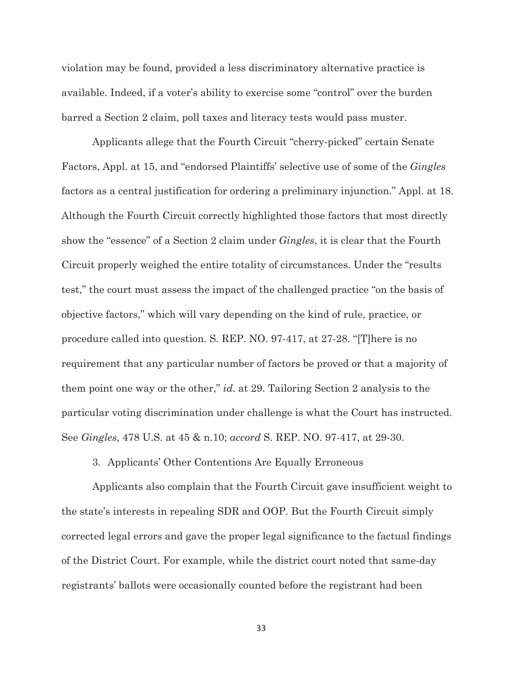violation may be found, provided a less discriminatory alternative practice is available. Indeed, if a voter's ability to exercise some "control" over the burden barred a Section 2 claim, poll taxes and literacy tests would pass muster.

Applicants allege that the Fourth Circuit "cherry-picked" certain Senate Factors, Appl. at 15, and "endorsed Plaintiffs' selective use of some of the *Gingles* factors as a central justification for ordering a preliminary injunction." Appl. at 18. Although the Fourth Circuit correctly highlighted those factors that most directly show the "essence" of a Section 2 claim under *Gingles*, it is clear that the Fourth Circuit properly weighed the entire totality of circumstances. Under the "results test," the court must assess the impact of the challenged practice "on the basis of objective factors," which will vary depending on the kind of rule, practice, or procedure called into question. S. REP. NO. 97-417, at 27-28. "[T]here is no requirement that any particular number of factors be proved or that a majority of them point one way or the other," *id*. at 29. Tailoring Section 2 analysis to the particular voting discrimination under challenge is what the Court has instructed. See *Gingles*, 478 U.S. at 45 & n.10; *accord* S. REP. NO. 97-417, at 29-30.

3. Applicants' Other Contentions Are Equally Erroneous

Applicants also complain that the Fourth Circuit gave insufficient weight to the state's interests in repealing SDR and OOP. But the Fourth Circuit simply corrected legal errors and gave the proper legal significance to the factual findings of the District Court. For example, while the district court noted that same-day registrants' ballots were occasionally counted before the registrant had been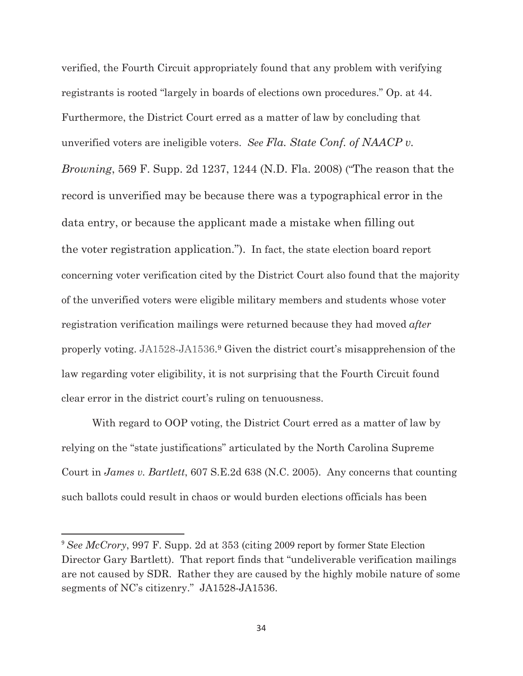verified, the Fourth Circuit appropriately found that any problem with verifying registrants is rooted "largely in boards of elections own procedures." Op. at 44. Furthermore, the District Court erred as a matter of law by concluding that unverified voters are ineligible voters. *See Fla. State Conf. of NAACP v. Browning*, 569 F. Supp. 2d 1237, 1244 (N.D. Fla. 2008) ("The reason that the record is unverified may be because there was a typographical error in the data entry, or because the applicant made a mistake when filling out the voter registration application."). In fact, the state election board report concerning voter verification cited by the District Court also found that the majority of the unverified voters were eligible military members and students whose voter registration verification mailings were returned because they had moved *after*  properly voting. JA1528-JA1536.9 Given the district court's misapprehension of the law regarding voter eligibility, it is not surprising that the Fourth Circuit found clear error in the district court's ruling on tenuousness.

With regard to OOP voting, the District Court erred as a matter of law by relying on the "state justifications" articulated by the North Carolina Supreme Court in *James v. Bartlett*, 607 S.E.2d 638 (N.C. 2005). Any concerns that counting such ballots could result in chaos or would burden elections officials has been

<sup>&</sup>lt;sup>9</sup> See McCrory, 997 F. Supp. 2d at 353 (citing 2009 report by former State Election Director Gary Bartlett). That report finds that "undeliverable verification mailings are not caused by SDR. Rather they are caused by the highly mobile nature of some segments of NC's citizenry." JA1528-JA1536.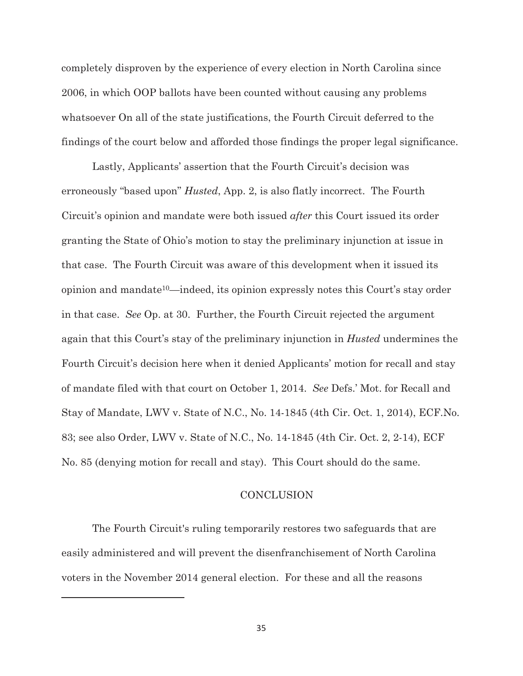completely disproven by the experience of every election in North Carolina since 2006, in which OOP ballots have been counted without causing any problems whatsoever On all of the state justifications, the Fourth Circuit deferred to the findings of the court below and afforded those findings the proper legal significance.

Lastly, Applicants' assertion that the Fourth Circuit's decision was erroneously "based upon" *Husted*, App. 2, is also flatly incorrect. The Fourth Circuit's opinion and mandate were both issued *after* this Court issued its order granting the State of Ohio's motion to stay the preliminary injunction at issue in that case. The Fourth Circuit was aware of this development when it issued its opinion and mandate10—indeed, its opinion expressly notes this Court's stay order in that case. *See* Op. at 30. Further, the Fourth Circuit rejected the argument again that this Court's stay of the preliminary injunction in *Husted* undermines the Fourth Circuit's decision here when it denied Applicants' motion for recall and stay of mandate filed with that court on October 1, 2014. *See* Defs.' Mot. for Recall and Stay of Mandate, LWV v. State of N.C., No. 14-1845 (4th Cir. Oct. 1, 2014), ECF.No. 83; see also Order, LWV v. State of N.C., No. 14-1845 (4th Cir. Oct. 2, 2-14), ECF No. 85 (denying motion for recall and stay). This Court should do the same.

### **CONCLUSION**

The Fourth Circuit's ruling temporarily restores two safeguards that are easily administered and will prevent the disenfranchisement of North Carolina voters in the November 2014 general election. For these and all the reasons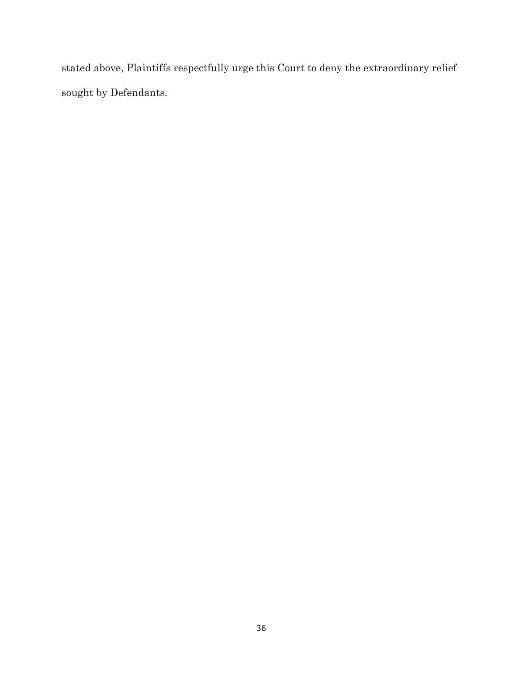stated above, Plaintiffs respectfully urge this Court to deny the extraordinary relief sought by Defendants.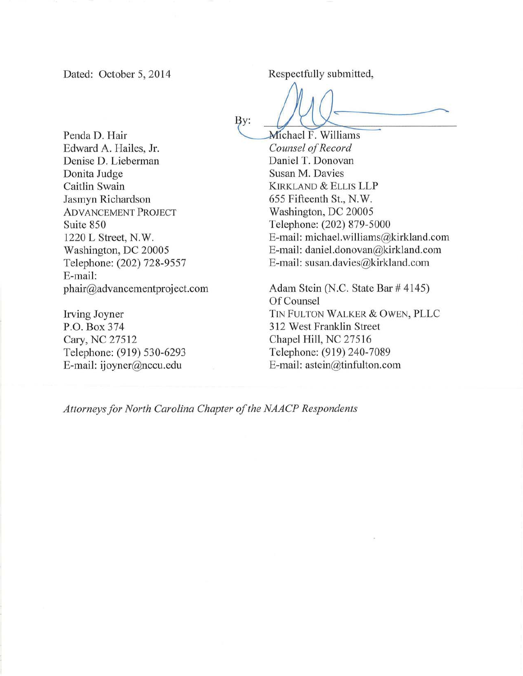Dated: October 5, 2014

Respectfully submitted,

Penda D. Hair Edward A. Hailes, Jr. Denise D. Lieberman Donita Judge Caitlin Swain Jasmyn Richardson **ADVANCEMENT PROJECT** Suite 850 1220 L Street, N.W. Washington, DC 20005 Telephone: (202) 728-9557 E-mail: phair@advancementproject.com

Irving Joyner P.O. Box 374 Cary, NC 27512 Telephone: (919) 530-6293 E-mail: ijoyner@nccu.edu

By:

Michael F. Williams Counsel of Record Daniel T. Donovan Susan M. Davies **KIRKLAND & ELLIS LLP** 655 Fifteenth St., N.W. Washington, DC 20005 Telephone: (202) 879-5000 E-mail: michael.williams@kirkland.com E-mail: daniel.donovan@kirkland.com E-mail: susan.davies@kirkland.com

Adam Stein (N.C. State Bar # 4145) Of Counsel TIN FULTON WALKER & OWEN, PLLC 312 West Franklin Street Chapel Hill, NC 27516 Telephone: (919) 240-7089 E-mail: astein@tinfulton.com

Attorneys for North Carolina Chapter of the NAACP Respondents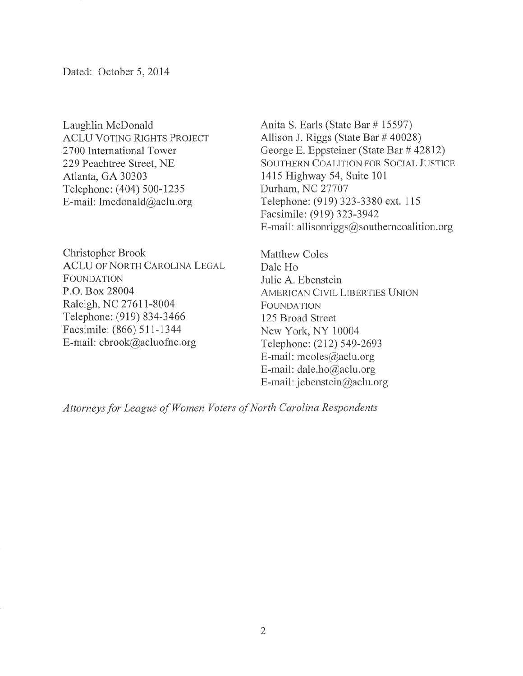Laughlin McDonald **ACLU VOTING RIGHTS PROJECT** 2700 International Tower 229 Peachtree Street, NE Atlanta, GA 30303 Telephone: (404) 500-1235 E-mail: lmcdonald@aclu.org

Christopher Brook **ACLU OF NORTH CAROLINA LEGAL FOUNDATION** P.O. Box 28004 Raleigh, NC 27611-8004 Telephone: (919) 834-3466 Facsimile: (866) 511-1344 E-mail: cbrook@acluofnc.org

Anita S. Earls (State Bar # 15597) Allison J. Riggs (State Bar # 40028) George E. Eppsteiner (State Bar # 42812) SOUTHERN COALITION FOR SOCIAL JUSTICE 1415 Highway 54, Suite 101 Durham, NC 27707 Telephone: (919) 323-3380 ext. 115 Facsimile: (919) 323-3942 E-mail: allisonriggs@southerncoalition.org

Matthew Coles Dale Ho Julie A. Ebenstein **AMERICAN CIVIL LIBERTIES UNION FOUNDATION** 125 Broad Street New York, NY 10004 Telephone: (212) 549-2693 E-mail: mcoles@aclu.org E-mail: dale.ho@aclu.org E-mail: jebenstein@aclu.org

Attorneys for League of Women Voters of North Carolina Respondents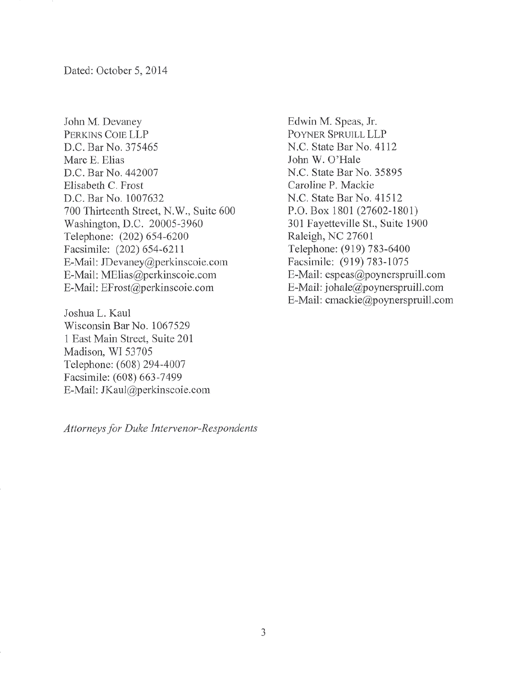John M. Devaney PERKINS COIE LLP D.C. Bar No. 375465 Marc E. Elias D.C. Bar No. 442007 Elisabeth C. Frost D.C. Bar No. 1007632 700 Thirteenth Street, N.W., Suite 600 Washington, D.C. 20005-3960 Telephone: (202) 654-6200 Facsimile: (202) 654-6211 E-Mail: JDevaney@perkinscoie.com E-Mail: MElias@perkinscoie.com E-Mail: EFrost@perkinscoie.com

Joshua L. Kaul Wisconsin Bar No. 1067529 1 East Main Street, Suite 201 Madison, WI 53705 Telephone: (608) 294-4007 Facsimile: (608) 663-7499 E-Mail: JKaul@perkinscoie.com

Edwin M. Speas, Jr. POYNER SPRUILL LLP N.C. State Bar No. 4112 John W. O'Hale N.C. State Bar No. 35895 Caroline P. Mackie N.C. State Bar No. 41512 P.O. Box 1801 (27602-1801) 301 Fayetteville St., Suite 1900 Raleigh, NC 27601 Telephone: (919) 783-6400 Facsimile: (919) 783-1075 E-Mail: espeas@poynerspruill.com E-Mail: johale@poynerspruill.com E-Mail: cmackie@poynerspruill.com

Attorneys for Duke Intervenor-Respondents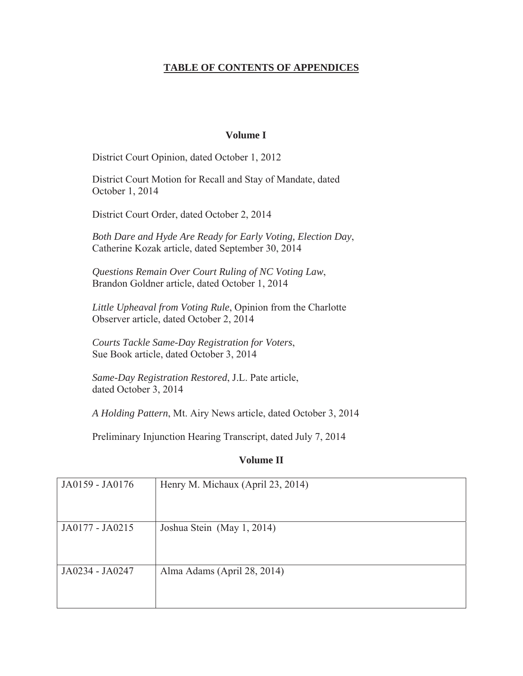### **TABLE OF CONTENTS OF APPENDICES**

#### **Volume I**

District Court Opinion, dated October 1, 2012

District Court Motion for Recall and Stay of Mandate, dated October 1, 2014

District Court Order, dated October 2, 2014

*Both Dare and Hyde Are Ready for Early Voting, Election Day*, Catherine Kozak article, dated September 30, 2014

*Questions Remain Over Court Ruling of NC Voting Law*, Brandon Goldner article, dated October 1, 2014

*Little Upheaval from Voting Rule*, Opinion from the Charlotte Observer article, dated October 2, 2014

*Courts Tackle Same-Day Registration for Voters*, Sue Book article, dated October 3, 2014

*Same-Day Registration Restored*, J.L. Pate article, dated October 3, 2014

*A Holding Pattern*, Mt. Airy News article, dated October 3, 2014

Preliminary Injunction Hearing Transcript, dated July 7, 2014

### **Volume II**

| JA0159 - JA0176 | Henry M. Michaux (April 23, 2014) |
|-----------------|-----------------------------------|
| JA0177 - JA0215 | Joshua Stein (May 1, 2014)        |
| JA0234 - JA0247 | Alma Adams (April 28, 2014)       |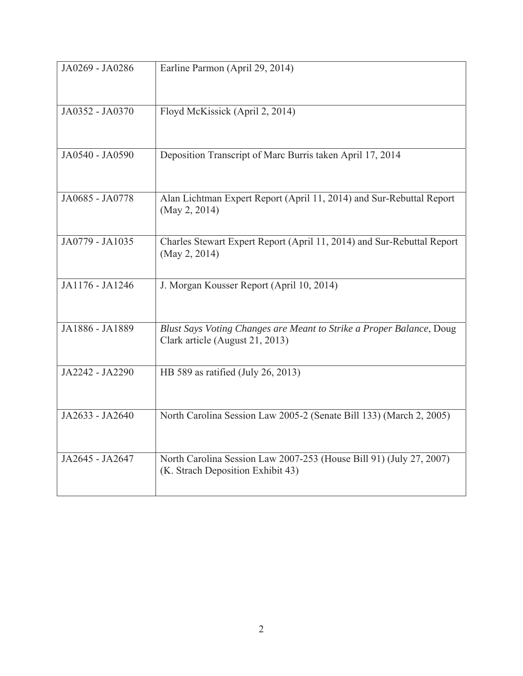| JA0269 - JA0286 | Earline Parmon (April 29, 2014)                                                                          |
|-----------------|----------------------------------------------------------------------------------------------------------|
| JA0352 - JA0370 | Floyd McKissick (April 2, 2014)                                                                          |
| JA0540 - JA0590 | Deposition Transcript of Marc Burris taken April 17, 2014                                                |
| JA0685 - JA0778 | Alan Lichtman Expert Report (April 11, 2014) and Sur-Rebuttal Report<br>(May 2, 2014)                    |
| JA0779 - JA1035 | Charles Stewart Expert Report (April 11, 2014) and Sur-Rebuttal Report<br>(May 2, 2014)                  |
| JA1176 - JA1246 | J. Morgan Kousser Report (April 10, 2014)                                                                |
| JA1886 - JA1889 | Blust Says Voting Changes are Meant to Strike a Proper Balance, Doug<br>Clark article (August 21, 2013)  |
| JA2242 - JA2290 | HB 589 as ratified (July 26, 2013)                                                                       |
| JA2633 - JA2640 | North Carolina Session Law 2005-2 (Senate Bill 133) (March 2, 2005)                                      |
| JA2645 - JA2647 | North Carolina Session Law 2007-253 (House Bill 91) (July 27, 2007)<br>(K. Strach Deposition Exhibit 43) |